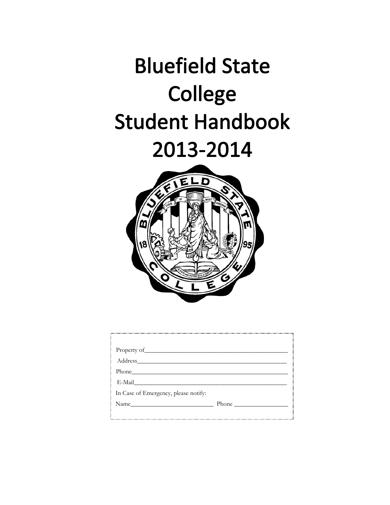# **Bluefield State** College **Student Handbook**

## 2013-2014



| Property of                          |  |
|--------------------------------------|--|
|                                      |  |
|                                      |  |
| E-Mail                               |  |
| In Case of Emergency, please notify: |  |
| Name                                 |  |
|                                      |  |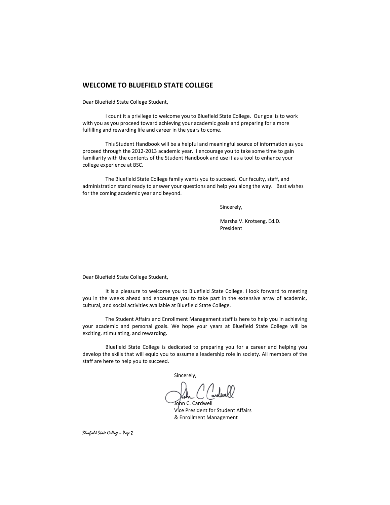#### **WELCOME TO BLUEFIELD STATE COLLEGE**

Dear Bluefield State College Student,

I count it a privilege to welcome you to Bluefield State College. Our goal is to work with you as you proceed toward achieving your academic goals and preparing for a more fulfilling and rewarding life and career in the years to come.

This Student Handbook will be a helpful and meaningful source of information as you proceed through the 2012-2013 academic year. I encourage you to take some time to gain familiarity with the contents of the Student Handbook and use it as a tool to enhance your college experience at BSC.

The Bluefield State College family wants you to succeed. Our faculty, staff, and administration stand ready to answer your questions and help you along the way. Best wishes for the coming academic year and beyond.

Sincerely,

Marsha V. Krotseng, Ed.D. President

Dear Bluefield State College Student,

It is a pleasure to welcome you to Bluefield State College. I look forward to meeting you in the weeks ahead and encourage you to take part in the extensive array of academic, cultural, and social activities available at Bluefield State College.

The Student Affairs and Enrollment Management staff is here to help you in achieving your academic and personal goals. We hope your years at Bluefield State College will be exciting, stimulating, and rewarding.

Bluefield State College is dedicated to preparing you for a career and helping you develop the skills that will equip you to assume a leadership role in society. All members of the staff are here to help you to succeed.

Sincerely,

 $\overline{\mathsf{hn}}$  C. Cardwell Vice President for Student Affairs & Enrollment Management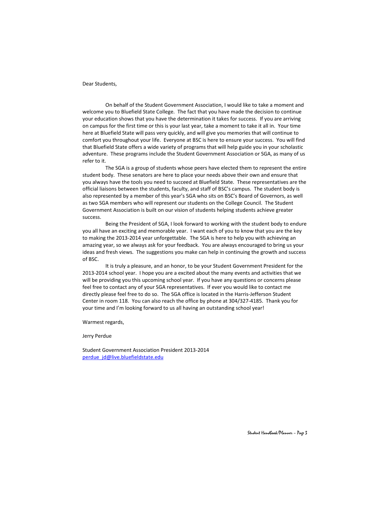#### Dear Students,

On behalf of the Student Government Association, I would like to take a moment and welcome you to Bluefield State College. The fact that you have made the decision to continue your education shows that you have the determination it takes for success. If you are arriving on campus for the first time or this is your last year, take a moment to take it all in. Your time here at Bluefield State will pass very quickly, and will give you memories that will continue to comfort you throughout your life. Everyone at BSC is here to ensure your success. You will find that Bluefield State offers a wide variety of programs that will help guide you in your scholastic adventure. These programs include the Student Government Association or SGA, as many of us refer to it.

The SGA is a group of students whose peers have elected them to represent the entire student body. These senators are here to place your needs above their own and ensure that you always have the tools you need to succeed at Bluefield State. These representatives are the official liaisons between the students, faculty, and staff of BSC's campus. The student body is also represented by a member of this year's SGA who sits on BSC's Board of Governors, as well as two SGA members who will represent our students on the College Council. The Student Government Association is built on our vision of students helping students achieve greater success.

Being the President of SGA, I look forward to working with the student body to endure you all have an exciting and memorable year. I want each of you to know that you are the key to making the 2013-2014 year unforgettable. The SGA is here to help you with achieving an amazing year, so we always ask for your feedback. You are always encouraged to bring us your ideas and fresh views. The suggestions you make can help in continuing the growth and success of BSC.

It is truly a pleasure, and an honor, to be your Student Government President for the 2013-2014 school year. I hope you are a excited about the many events and activities that we will be providing you this upcoming school year. If you have any questions or concerns please feel free to contact any of your SGA representatives. If ever you would like to contact me directly please feel free to do so. The SGA office is located in the Harris-Jefferson Student Center in room 118. You can also reach the office by phone at 304/327-4185. Thank you for your time and I'm looking forward to us all having an outstanding school year!

Warmest regards,

#### Jerry Perdue

Student Government Association President 2013-2014 [perdue\\_jd@live.bluefieldstate.edu](mailto:perdue_jd@live.bluefieldstate.edu)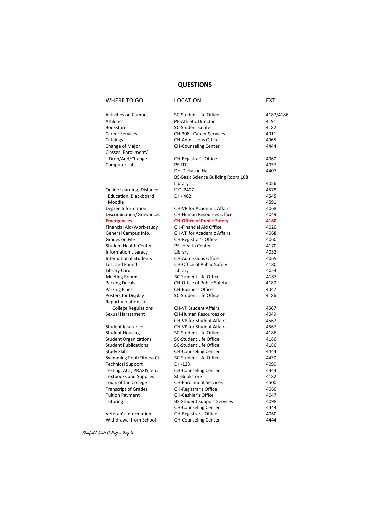#### **QUESTIONS**

| WHERE TO GO                   | LOCATION                                  | EXT.      |
|-------------------------------|-------------------------------------------|-----------|
| <b>Activities on Campus</b>   | <b>SC-Student Life Office</b>             | 4187/4186 |
| Athletics                     | PE-Athletic Director                      | 4191      |
| <b>Bookstore</b>              | <b>SC-Student Center</b>                  | 4182      |
| <b>Career Services</b>        | CH-308 - Career Services                  | 4011      |
| Catalogs                      | <b>CH-Admissions Office</b>               | 4065      |
| Change of Major               | <b>CH-Counseling Center</b>               | 4444      |
| Classes: Enrollment/          |                                           |           |
| Drop/Add/Change               | CH-Registrar's Office                     | 4060      |
| Computer Labs                 | PE-ITC                                    | 4057      |
|                               | <b>DH-Dickason Hall</b>                   | 4407      |
|                               | <b>BS-Basic Science Building Room 108</b> |           |
|                               | Library                                   | 4056      |
| Online Learning, Distance     | <b>ITC-P407</b>                           | 4578      |
| Education, Blackboard         | DH-462                                    | 4545      |
| Moodle                        |                                           | 4591      |
| Degree Information            | <b>CH-VP for Academic Affairs</b>         | 4068      |
| Discrimination/Grievances     | <b>CH-Human Resources Office</b>          | 4049      |
| <b>Emergencies</b>            | <b>CH-Office of Public Safety</b>         | 4180      |
| Financial Aid/Work-study      | <b>CH-Financial Aid Office</b>            | 4020      |
| General Campus Info.          | <b>CH-VP for Academic Affairs</b>         | 4068      |
| Grades on File                | CH-Registrar's Office                     | 4060      |
| <b>Student Health Center</b>  | PE-Health Center                          | 4170      |
| <b>Information Literacy</b>   | Library                                   | 4052      |
| <b>International Students</b> | <b>CH-Admissions Office</b>               | 4065      |
| Lost and Found                | CH-Office of Public Safety                | 4180      |
| Library Card                  | Library                                   | 4054      |
| <b>Meeting Rooms</b>          | SC-Student Life Office                    | 4187      |
| <b>Parking Decals</b>         | <b>CH-Office of Public Safety</b>         | 4180      |
| <b>Parking Fines</b>          | <b>CH-Business Office</b>                 | 4047      |
| Posters for Display           | SC-Student Life Office                    | 4186      |
| <b>Report Violations of</b>   |                                           |           |
| <b>College Regulations</b>    | <b>CH-VP Student Affairs</b>              | 4567      |
| Sexual Harassment             | CH-Human Resources or                     | 4049      |
|                               | <b>CH-VP for Student Affairs</b>          | 4567      |
| <b>Student Insurance</b>      | CH-VP for Student Affairs                 | 4567      |
| <b>Student Housing</b>        | SC-Student Life Office                    | 4186      |
| <b>Student Organizations</b>  | <b>SC-Student Life Office</b>             | 4186      |
| <b>Student Publications</b>   | <b>SC-Student Life Office</b>             | 4186      |
| <b>Study Skills</b>           | <b>CH-Counseling Center</b>               | 4444      |
| Swimming Pool/Fitness Ctr     | SC-Student Life Office                    | 4430      |
| <b>Technical Support</b>      | DH-123                                    | 4090      |
| Testing: ACT, PRAXIS, etc.    | <b>CH-Counseling Center</b>               | 4444      |
| <b>Textbooks and Supplies</b> | SC-Bookstore                              | 4182      |
| Tours of the College          | <b>CH-Enrollment Services</b>             | 4500      |
| <b>Transcript of Grades</b>   | CH-Registrar's Office                     | 4060      |
| <b>Tuition Payment</b>        | CH-Cashier's Office                       | 4047      |
| Tutoring                      | <b>BS-Student Support Services</b>        | 4098      |
|                               | <b>CH-Counseling Center</b>               | 4444      |
| Veteran's Information         | CH-Registrar's Office                     | 4060      |
| Withdrawal from School        | <b>CH-Counseling Center</b>               | 4444      |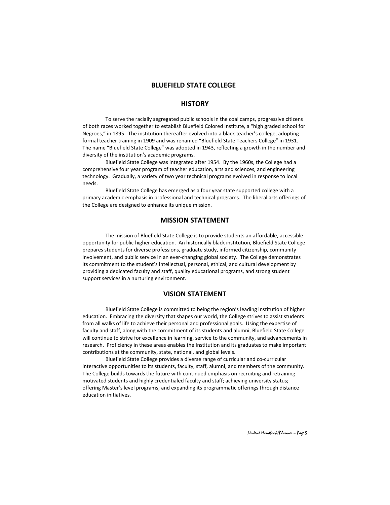#### **BLUEFIELD STATE COLLEGE**

#### **HISTORY**

To serve the racially segregated public schools in the coal camps, progressive citizens of both races worked together to establish Bluefield Colored Institute, a "high graded school for Negroes," in 1895. The institution thereafter evolved into a black teacher's college, adopting formal teacher training in 1909 and was renamed "Bluefield State Teachers College" in 1931. The name "Bluefield State College" was adopted in 1943, reflecting a growth in the number and diversity of the institution's academic programs.

Bluefield State College was integrated after 1954. By the 1960s, the College had a comprehensive four year program of teacher education, arts and sciences, and engineering technology. Gradually, a variety of two year technical programs evolved in response to local needs.

Bluefield State College has emerged as a four year state supported college with a primary academic emphasis in professional and technical programs. The liberal arts offerings of the College are designed to enhance its unique mission.

#### **MISSION STATEMENT**

The mission of Bluefield State College is to provide students an affordable, accessible opportunity for public higher education. An historically black institution, Bluefield State College prepares students for diverse professions, graduate study, informed citizenship, community involvement, and public service in an ever-changing global society. The College demonstrates its commitment to the student's intellectual, personal, ethical, and cultural development by providing a dedicated faculty and staff, quality educational programs, and strong student support services in a nurturing environment.

#### **VISION STATEMENT**

Bluefield State College is committed to being the region's leading institution of higher education. Embracing the diversity that shapes our world, the College strives to assist students from all walks of life to achieve their personal and professional goals. Using the expertise of faculty and staff, along with the commitment of its students and alumni, Bluefield State College will continue to strive for excellence in learning, service to the community, and advancements in research. Proficiency in these areas enables the Institution and its graduates to make important contributions at the community, state, national, and global levels.

Bluefield State College provides a diverse range of curricular and co-curricular interactive opportunities to its students, faculty, staff, alumni, and members of the community. The College builds towards the future with continued emphasis on recruiting and retraining motivated students and highly credentialed faculty and staff; achieving university status; offering Master's level programs; and expanding its programmatic offerings through distance education initiatives.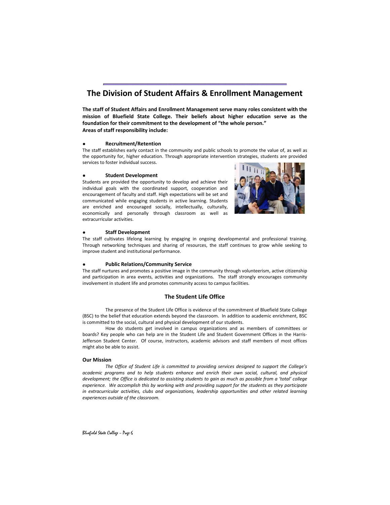## **The Division of Student Affairs & Enrollment Management**

**The staff of Student Affairs and Enrollment Management serve many roles consistent with the mission of Bluefield State College. Their beliefs about higher education serve as the foundation for their commitment to the development of "the whole person." Areas of staff responsibility include:**

#### **● Recruitment/Retention**

The staff establishes early contact in the community and public schools to promote the value of, as well as the opportunity for, higher education. Through appropriate intervention strategies, students are provided services to foster individual success.

#### **● Student Development**

Students are provided the opportunity to develop and achieve their individual goals with the coordinated support, cooperation and encouragement of faculty and staff. High expectations will be set and communicated while engaging students in active learning. Students are enriched and encouraged socially, intellectually, culturally, economically and personally through classroom as well as extracurricular activities.



#### **● Staff Development**

The staff cultivates lifelong learning by engaging in ongoing developmental and professional training. Through networking techniques and sharing of resources, the staff continues to grow while seeking to improve student and institutional performance.

#### **● Public Relations/Community Service**

The staff nurtures and promotes a positive image in the community through volunteerism, active citizenship and participation in area events, activities and organizations. The staff strongly encourages community involvement in student life and promotes community access to campus facilities.

#### **The Student Life Office**

The presence of the Student Life Office is evidence of the commitment of Bluefield State College (BSC) to the belief that education extends beyond the classroom. In addition to academic enrichment, BSC is committed to the social, cultural and physical development of our students.

How do students get involved in campus organizations and as members of committees or boards? Key people who can help are in the Student Life and Student Government Offices in the Harris-Jefferson Student Center. Of course, instructors, academic advisors and staff members of most offices might also be able to assist.

#### **Our Mission**

*The Office of Student Life is committed to providing services designed to support the College's academic programs and to help students enhance and enrich their own social, cultural, and physical development; the Office is dedicated to assisting students to gain as much as possible from a 'total' college experience. We accomplish this by working with and providing support for the students as they participate in extracurricular activities, clubs and organizations, leadership opportunities and other related learning experiences outside of the classroom.*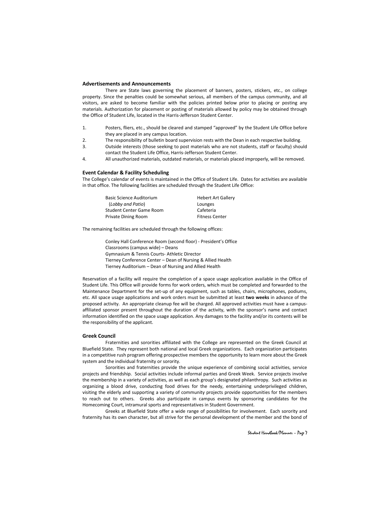#### **Advertisements and Announcements**

There are State laws governing the placement of banners, posters, stickers, etc., on college property. Since the penalties could be somewhat serious, all members of the campus community, and all visitors, are asked to become familiar with the policies printed below prior to placing or posting any materials. Authorization for placement or posting of materials allowed by policy may be obtained through the Office of Student Life, located in the Harris-Jefferson Student Center.

- 1. Posters, fliers, etc., should be cleared and stamped "approved" by the Student Life Office before they are placed in any campus location.
- 2. The responsibility of bulletin board supervision rests with the Dean in each respective building.
- 3. Outside interests (those seeking to post materials who are not students, staff or faculty) should contact the Student Life Office, Harris-Jefferson Student Center.
- 4. All unauthorized materials, outdated materials, or materials placed improperly, will be removed.

#### **Event Calendar & Facility Scheduling**

The College's calendar of events is maintained in the Office of Student Life. Dates for activities are available in that office. The following facilities are scheduled through the Student Life Office:

| <b>Basic Science Auditorium</b> | <b>Hebert Art Gallery</b> |
|---------------------------------|---------------------------|
| (Lobby and Patio)               | Lounges                   |
| <b>Student Center Game Room</b> | Cafeteria                 |
| Private Dining Room             | <b>Fitness Center</b>     |

The remaining facilities are scheduled through the following offices:

Conley Hall Conference Room (second floor) - President's Office Classrooms (campus wide) – Deans Gymnasium & Tennis Courts- Athletic Director Tierney Conference Center – Dean of Nursing & Allied Health Tierney Auditorium – Dean of Nursing and Allied Health

Reservation of a facility will require the completion of a space usage application available in the Office of Student Life. This Office will provide forms for work orders, which must be completed and forwarded to the Maintenance Department for the set-up of any equipment, such as tables, chairs, microphones, podiums, etc. All space usage applications and work orders must be submitted at least **two weeks** in advance of the proposed activity. An appropriate cleanup fee will be charged. All approved activities must have a campusaffiliated sponsor present throughout the duration of the activity, with the sponsor's name and contact information identified on the space usage application. Any damages to the facility and/or its contents will be the responsibility of the applicant.

#### **Greek Council**

Fraternities and sororities affiliated with the College are represented on the Greek Council at Bluefield State. They represent both national and local Greek organizations. Each organization participates in a competitive rush program offering prospective members the opportunity to learn more about the Greek system and the individual fraternity or sorority.

Sororities and fraternities provide the unique experience of combining social activities, service projects and friendship. Social activities include informal parties and Greek Week. Service projects involve the membership in a variety of activities, as well as each group's designated philanthropy. Such activities as organizing a blood drive, conducting food drives for the needy, entertaining underprivileged children, visiting the elderly and supporting a variety of community projects provide opportunities for the members to reach out to others. Greeks also participate in campus events by sponsoring candidates for the Homecoming Court, intramural sports and representatives in Student Government.

Greeks at Bluefield State offer a wide range of possibilities for involvement. Each sorority and fraternity has its own character, but all strive for the personal development of the member and the bond of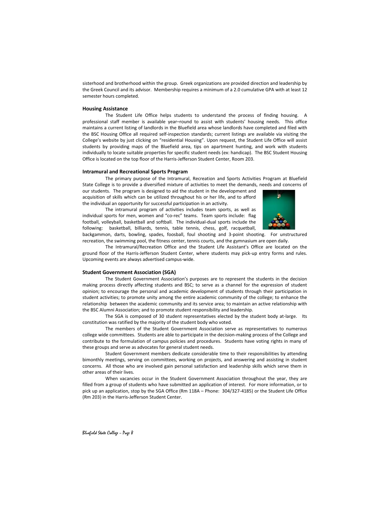sisterhood and brotherhood within the group. Greek organizations are provided direction and leadership by the Greek Council and its advisor. Membership requires a minimum of a 2.0 cumulative GPA with at least 12 semester hours completed.

#### **Housing Assistance**

The Student Life Office helps students to understand the process of finding housing. A professional staff member is available year–round to assist with students' housing needs. This office maintains a current listing of landlords in the Bluefield area whose landlords have completed and filed with the BSC Housing Office all required self-inspection standards; current listings are available via visiting the College's website by just clicking on "residential Housing". Upon request, the Student Life Office will assist students by providing maps of the Bluefield area, tips on apartment hunting, and work with students individually to locate suitable properties for specific student needs (ex: handicap). The BSC Student Housing Office is located on the top floor of the Harris-Jefferson Student Center, Room 203.

#### **Intramural and Recreational Sports Program**

The primary purpose of the Intramural, Recreation and Sports Activities Program at Bluefield State College is to provide a diversified mixture of activities to meet the demands, needs and concerns of our students. The program is designed to aid the student in the development and acquisition of skills which can be utilized throughout his or her life, and to afford

the individual an opportunity for successful participation in an activity. The intramural program of activities includes team sports, as well as individual sports for men, women and "co-rec" teams. Team sports include: flag football, volleyball, basketball and softball. The individual-dual sports include the following: basketball, billiards, tennis, table tennis, chess, golf, racquetball,



backgammon, darts, bowling, spades, foosball, foul shooting and 3-point shooting. For unstructured recreation, the swimming pool, the fitness center, tennis courts, and the gymnasium are open daily.

The Intramural/Recreation Office and the Student Life Assistant's Office are located on the ground floor of the Harris-Jefferson Student Center, where students may pick-up entry forms and rules. Upcoming events are always advertised campus-wide.

#### **Student Government Association (SGA)**

The Student Government Association's purposes are to represent the students in the decision making process directly affecting students and BSC; to serve as a channel for the expression of student opinion; to encourage the personal and academic development of students through their participation in student activities; to promote unity among the entire academic community of the college; to enhance the relationship between the academic community and its service area; to maintain an active relationship with the BSC Alumni Association; and to promote student responsibility and leadership.

The SGA is composed of 30 student representatives elected by the student body at-large. Its constitution was ratified by the majority of the student body who voted.

The members of the Student Government Association serve as representatives to numerous college wide committees. Students are able to participate in the decision-making process of the College and contribute to the formulation of campus policies and procedures. Students have voting rights in many of these groups and serve as advocates for general student needs.

Student Government members dedicate considerable time to their responsibilities by attending bimonthly meetings, serving on committees, working on projects, and answering and assisting in student concerns. All those who are involved gain personal satisfaction and leadership skills which serve them in other areas of their lives.

When vacancies occur in the Student Government Association throughout the year, they are filled from a group of students who have submitted an application of interest. For more information, or to pick up an application, stop by the SGA Office (Rm 118A – Phone: 304/327-4185) or the Student Life Office (Rm 203) in the Harris-Jefferson Student Center.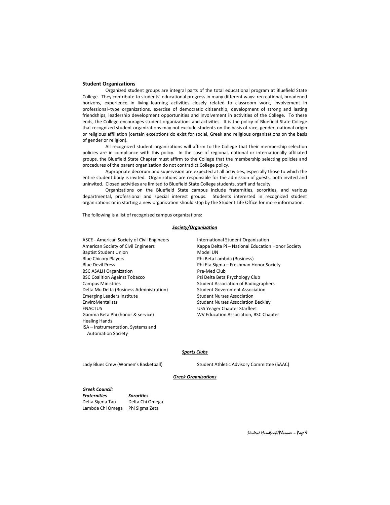#### **Student Organizations**

Organized student groups are integral parts of the total educational program at Bluefield State College. They contribute to students' educational progress in many different ways: recreational, broadened horizons, experience in living–learning activities closely related to classroom work, involvement in professional–type organizations, exercise of democratic citizenship, development of strong and lasting friendships, leadership development opportunities and involvement in activities of the College. To these ends, the College encourages student organizations and activities. It is the policy of Bluefield State College that recognized student organizations may not exclude students on the basis of race, gender, national origin or religious affiliation (certain exceptions do exist for social, Greek and religious organizations on the basis of gender or religion).

All recognized student organizations will affirm to the College that their membership selection policies are in compliance with this policy. In the case of regional, national or internationally affiliated groups, the Bluefield State Chapter must affirm to the College that the membership selecting policies and procedures of the parent organization do not contradict College policy.

Appropriate decorum and supervision are expected at all activities, especially those to which the entire student body is invited. Organizations are responsible for the admission of guests, both invited and uninvited. Closed activities are limited to Bluefield State College students, staff and faculty.

Organizations on the Bluefield State campus include fraternities, sororities, and various departmental, professional and special interest groups. Students interested in recognized student organizations or in starting a new organization should stop by the Student Life Office for more information.

The following is a list of recognized campus organizations:

#### *Society/Organization*

- ASCE American Society of Civil Engineers International Student Organization Baptist Student Union Model UN Blue Chicory Players **Phi Beta Lambda (Business)** Blue Devil Press Phi Eta Sigma – Freshman Honor Society BSC ASALH Organization **Pre-Med Club** BSC Coalition Against Tobacco<br>
Campus Ministries
Compus Antistries
Campus Ministries
Compus Antistries
Compus Ministries
Compus Ministries
Compus Antistries
Compus Ministries
Compus Antistries
Compus Antistries
Compus Anti Delta Mu Delta (Business Administration) Student Government Association Emerging Leaders Institute Student Nurses Association<br>
EnviroMentalists<br>
Student Nurses Association ENACTUS USS Yeager Chapter Starfleet Healing Hands ISA – Instrumentation, Systems and Automation Society
- American Society of Civil Engineers Kappa Delta Pi National Education Honor Society Student Association of Radiographers Student Nurses Association Beckley WV Education Association, BSC Chapter

#### *Sports Clubs*

Lady Blues Crew (Women's Basketball) Student Athletic Advisory Committee (SAAC)

#### *Greek Organizations*

#### *Greek Council:*

*Fraternities Sororities* Delta Sigma Tau Delta Chi Omega Lambda Chi Omega Phi Sigma Zeta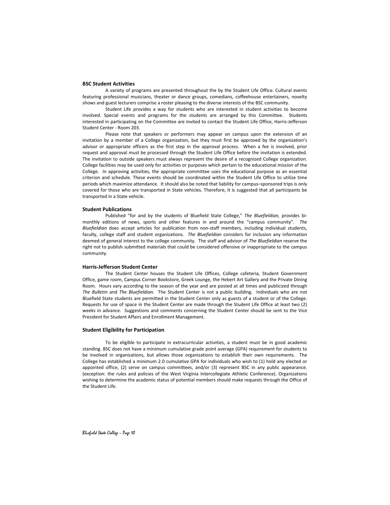#### **BSC Student Activities**

A variety of programs are presented throughout the by the Student Life Office. Cultural events featuring professional musicians, theater or dance groups, comedians, coffeehouse entertainers, novelty shows and guest lecturers comprise a roster pleasing to the diverse interests of the BSC community.

Student Life provides a way for students who are interested in student activities to become involved. Special events and programs for the students are arranged by this Committee. Students interested in participating on the Committee are invited to contact the Student Life Office, Harris-Jefferson Student Center - Room 203.

Please note that speakers or performers may appear on campus upon the extension of an invitation by a member of a College organization, but they must first be approved by the organization's advisor or appropriate officers as the first step in the approval process. When a fee is involved, prior request and approval must be processed through the Student Life Office before the invitation is extended. The invitation to outside speakers must always represent the desire of a recognized College organization. College facilities may be used only for activities or purposes which pertain to the educational mission of the College. In approving activities, the appropriate committee uses the educational purpose as an essential criterion and schedule. These events should be coordinated within the Student Life Office to utilize time periods which maximize attendance. It should also be noted that liability for campus–sponsored trips is only covered for those who are transported in State vehicles. Therefore, it is suggested that all participants be transported in a State vehicle.

#### **Student Publications**

Published "for and by the students of Bluefield State College," *The Bluefieldian,* provides bimonthly editions of news, sports and other features in and around the "campus community". *The Bluefieldian* does accept articles for publication from non-staff members, including individual students, faculty, college staff and student organizations. *The Bluefieldian* considers for inclusion any information deemed of general interest to the college community. The staff and advisor of *The Bluefieldian* reserve the right not to publish submitted materials that could be considered offensive or inappropriate to the campus community.

#### **Harris-Jefferson Student Center**

The Student Center houses the Student Life Offices, College cafeteria, Student Government Office, game room, Campus Corner Bookstore, Greek Lounge, the Hebert Art Gallery and the Private Dining Room. Hours vary according to the season of the year and are posted at all times and publicized through *The Bulletin* and *The Bluefieldian.* The Student Center is not a public building. Individuals who are not Bluefield State students are permitted in the Student Center only as guests of a student or of the College. Requests for use of space in the Student Center are made through the Student Life Office at least two (2) weeks in advance. Suggestions and comments concerning the Student Center should be sent to the Vice President for Student Affairs and Enrollment Management.

#### **Student Eligibility for Participation**

To be eligible to participate in extracurricular activities, a student must be in good academic standing. BSC does not have a minimum cumulative grade point average (GPA) requirement for students to be involved in organizations, but allows those organizations to establish their own requirements. The College has established a minimum 2.0 cumulative GPA for individuals who wish to (1) hold any elected or appointed office, (2) serve on campus committees, and/or (3) represent BSC in any public appearance. (exception: the rules and policies of the West Virginia Intercollegiate Athletic Conference). Organizations wishing to determine the academic status of potential members should make requests through the Office of the Student Life.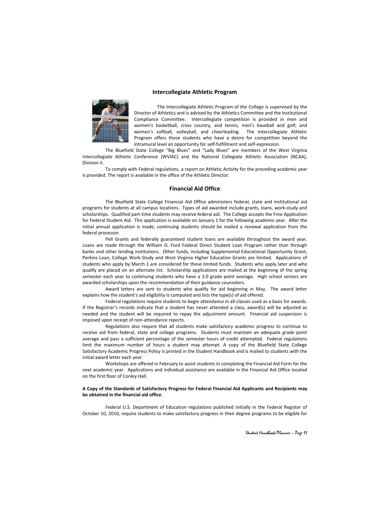#### **Intercollegiate Athletic Program**



The Intercollegiate Athletic Program of the College is supervised by the Director of Athletics and is advised by the Athletics Committee and the Institutional Compliance Committee. Intercollegiate competition is provided in men and women's basketball, cross country, and tennis; men's baseball and golf; and women's softball, volleyball, and cheerleading. The Intercollegiate Athletic Program offers those students who have a desire for competition beyond the intramural level an opportunity for self-fulfillment and self-expression.

The Bluefield State College "Big Blues" and "Lady Blues" are members of the West Virginia Intercollegiate Athletic Conference (WVIAC) and the National Collegiate Athletic Association (NCAA), Division II.

To comply with Federal regulations, a report on Athletic Activity for the preceding academic year is provided. The report is available in the office of the Athletic Director.

#### **Financial Aid Office**

The Bluefield State College Financial Aid Office administers federal, state and institutional aid programs for students at all campus locations. Types of aid awarded include grants, loans, work-study and scholarships. Qualified part-time students may receive federal aid. The College accepts the Free Application for Federal Student Aid. This application is available on January 1 for the following academic year. After the initial annual application is made, continuing students should be mailed a renewal application from the federal processor.

Pell Grants and federally guaranteed student loans are available throughout the award year. Loans are made through the William D. Ford Federal Direct Student Loan Program rather than through banks and other lending institutions. Other funds, including Supplemental Educational Opportunity Grant, Perkins Loan, College Work-Study and West Virginia Higher Education Grants are limited. Applications of students who apply by March 1 are considered for these limited funds. Students who apply later and who qualify are placed on an alternate list. Scholarship applications are mailed at the beginning of the spring semester each year to continuing students who have a 3.0 grade point average. High school seniors are awarded scholarships upon the recommendation of their guidance counselors.

Award letters are sent to students who qualify for aid beginning in May. The award letter explains how the student's aid eligibility is computed and lists the type(s) of aid offered.

Federal regulations require students to begin attendance in all classes used as a basis for awards. If the Registrar's records indicate that a student has never attended a class, award(s) will be adjusted as needed and the student will be required to repay the adjustment amount. Financial aid suspension is imposed upon receipt of non-attendance reports.

Regulations also require that all students make satisfactory academic progress to continue to receive aid from federal, state and college programs. Students must maintain an adequate grade point average and pass a sufficient percentage of the semester hours of credit attempted. Federal regulations limit the maximum number of hours a student may attempt. A copy of the Bluefield State College Satisfactory Academic Progress Policy is printed in the Student Handbook and is mailed to students with the initial award letter each year.

Workshops are offered in February to assist students in completing the Financial Aid Form for the next academic year. Applications and individual assistance are available in the Financial Aid Office located on the first floor of Conley Hall.

#### **A Copy of the Standards of Satisfactory Progress for Federal Financial Aid Applicants and Recipients may be obtained in the financial aid office.**

Federal U.S. Department of Education regulations published initially in the Federal Register of October 10, 2010, require students to make satisfactory progress in their degree programs to be eligible for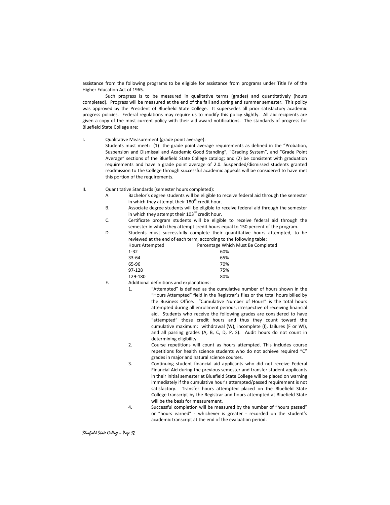assistance from the following programs to be eligible for assistance from programs under Title IV of the Higher Education Act of 1965.

Such progress is to be measured in qualitative terms (grades) and quantitatively (hours completed). Progress will be measured at the end of the fall and spring and summer semester. This policy was approved by the President of Bluefield State College. It supersedes all prior satisfactory academic progress policies. Federal regulations may require us to modify this policy slightly. All aid recipients are given a copy of the most current policy with their aid award notifications. The standards of progress for Bluefield State College are:

I. Qualitative Measurement (grade point average):

Students must meet: (1) the grade point average requirements as defined in the "Probation, Suspension and Dismissal and Academic Good Standing", "Grading System", and "Grade Point Average" sections of the Bluefield State College catalog; and (2) be consistent with graduation requirements and have a grade point average of 2.0. Suspended/dismissed students granted readmission to the College through successful academic appeals will be considered to have met this portion of the requirements.

- II. Quantitative Standards (semester hours completed):
	- A. Bachelor's degree students will be eligible to receive federal aid through the semester in which they attempt their  $180<sup>th</sup>$  credit hour.
	- B. Associate degree students will be eligible to receive federal aid through the semester in which they attempt their  $103<sup>rd</sup>$  credit hour.
	- C. Certificate program students will be eligible to receive federal aid through the semester in which they attempt credit hours equal to 150 percent of the program.
	- D. Students must successfully complete their quantitative hours attempted, to be reviewed at the end of each term, according to the following table:

| <b>Hours Attempted</b> | Percentage Which Must Be Completed |
|------------------------|------------------------------------|
| $1 - 32$               | 60%                                |
| $33 - 64$              | 65%                                |
| 65-96                  | 70%                                |
| 97-128                 | 75%                                |
| 129-180                | 80%                                |

- E. Additional definitions and explanations:
	- 1. "Attempted" is defined as the cumulative number of hours shown in the "Hours Attempted" field in the Registrar's files or the total hours billed by the Business Office. "Cumulative Number of Hours" is the total hours attempted during all enrollment periods, irrespective of receiving financial aid. Students who receive the following grades are considered to have "attempted" those credit hours and thus they count toward the cumulative maximum: withdrawal (W), incomplete (I), failures (F or WI), and all passing grades (A, B, C, D, P, S). Audit hours do not count in determining eligibility.
	- 2. Course repetitions will count as hours attempted. This includes course repetitions for health science students who do not achieve required "C" grades in major and natural science courses.
	- 3. Continuing student financial aid applicants who did not receive Federal Financial Aid during the previous semester and transfer student applicants in their initial semester at Bluefield State College will be placed on warning immediately if the cumulative hour's attempted/passed requirement is not satisfactory. Transfer hours attempted placed on the Bluefield State College transcript by the Registrar and hours attempted at Bluefield State will be the basis for measurement.
	- 4. Successful completion will be measured by the number of "hours passed" or "hours earned" - whichever is greater - recorded on the student's academic transcript at the end of the evaluation period.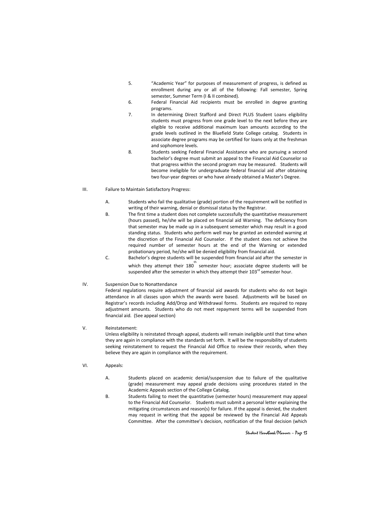- 5. "Academic Year" for purposes of measurement of progress, is defined as enrollment during any or all of the following: Fall semester, Spring semester, Summer Term (I & II combined).
- 6. Federal Financial Aid recipients must be enrolled in degree granting programs.
- 7. In determining Direct Stafford and Direct PLUS Student Loans eligibility students must progress from one grade level to the next before they are eligible to receive additional maximum loan amounts according to the grade levels outlined in the Bluefield State College catalog. Students in associate degree programs may be certified for loans only at the freshman and sophomore levels.
- 8. Students seeking Federal Financial Assistance who are pursuing a second bachelor's degree must submit an appeal to the Financial Aid Counselor so that progress within the second program may be measured. Students will become ineligible for undergraduate federal financial aid after obtaining two four-year degrees or who have already obtained a Master's Degree.
- III. Failure to Maintain Satisfactory Progress:
	- A. Students who fail the qualitative (grade) portion of the requirement will be notified in writing of their warning, denial or dismissal status by the Registrar.
	- B. The first time a student does not complete successfully the quantitative measurement (hours passed), he/she will be placed on financial aid Warning. The deficiency from that semester may be made up in a subsequent semester which may result in a good standing status. Students who perform well may be granted an extended warning at the discretion of the Financial Aid Counselor. If the student does not achieve the required number of semester hours at the end of the Warning or extended probationary period, he/she will be denied eligibility from financial aid.
	- C. Bachelor's degree students will be suspended from financial aid after the semester in which they attempt their 180 $^{\text{th}}$  semester hour; associate degree students will be suspended after the semester in which they attempt their  $103^{rd}$  semester hour.
- IV. Suspension Due to Nonattendance

Federal regulations require adjustment of financial aid awards for students who do not begin attendance in all classes upon which the awards were based. Adjustments will be based on Registrar's records including Add/Drop and Withdrawal forms. Students are required to repay adjustment amounts. Students who do not meet repayment terms will be suspended from financial aid. (See appeal section)

V. Reinstatement:

Unless eligibility is reinstated through appeal, students will remain ineligible until that time when they are again in compliance with the standards set forth. It will be the responsibility of students seeking reinstatement to request the Financial Aid Office to review their records, when they believe they are again in compliance with the requirement.

- VI. Appeals:
	- A. Students placed on academic denial/suspension due to failure of the qualitative (grade) measurement may appeal grade decisions using procedures stated in the Academic Appeals section of the College Catalog.
	- B. Students failing to meet the quantitative (semester hours) measurement may appeal to the Financial Aid Counselor. Students must submit a personal letter explaining the mitigating circumstances and reason(s) for failure. If the appeal is denied, the student may request in writing that the appeal be reviewed by the Financial Aid Appeals Committee. After the committee's decision, notification of the final decision (which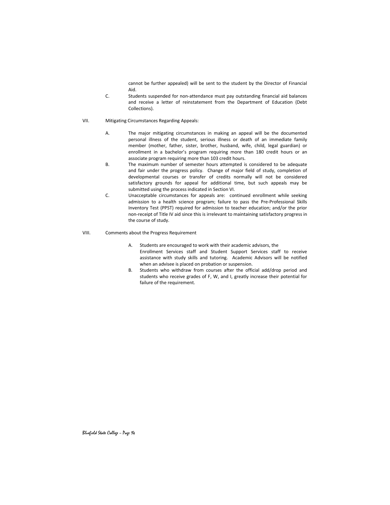cannot be further appealed) will be sent to the student by the Director of Financial Aid.

- C. Students suspended for non-attendance must pay outstanding financial aid balances and receive a letter of reinstatement from the Department of Education (Debt Collections).
- VII. Mitigating Circumstances Regarding Appeals:
	- A. The major mitigating circumstances in making an appeal will be the documented personal illness of the student, serious illness or death of an immediate family member (mother, father, sister, brother, husband, wife, child, legal guardian) or enrollment in a bachelor's program requiring more than 180 credit hours or an associate program requiring more than 103 credit hours.
	- B. The maximum number of semester hours attempted is considered to be adequate and fair under the progress policy. Change of major field of study, completion of developmental courses or transfer of credits normally will not be considered satisfactory grounds for appeal for additional time, but such appeals may be submitted using the process indicated in Section VI.
	- C. Unacceptable circumstances for appeals are: continued enrollment while seeking admission to a health science program; failure to pass the Pre-Professional Skills Inventory Test (PPST) required for admission to teacher education; and/or the prior non-receipt of Title IV aid since this is irrelevant to maintaining satisfactory progress in the course of study.
- VIII. Comments about the Progress Requirement
	- A. Students are encouraged to work with their academic advisors, the Enrollment Services staff and Student Support Services staff to receive assistance with study skills and tutoring. Academic Advisors will be notified when an advisee is placed on probation or suspension.
	- B. Students who withdraw from courses after the official add/drop period and students who receive grades of F, W, and I, greatly increase their potential for failure of the requirement.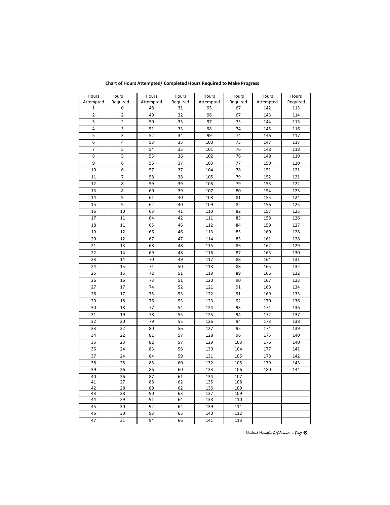| Hours          | Hours          | Hours     | Hours    | Hours      | Hours      | Hours     | Hours    |
|----------------|----------------|-----------|----------|------------|------------|-----------|----------|
| Attempted      | Required       | Attempted | Required | Attempted  | Required   | Attempted | Required |
| 1              | 0              | 48        | 31       | 95         | 67         | 142       | 113      |
| $\overline{2}$ | $\overline{2}$ | 49        | 32       | 96         | 67         | 143       | 114      |
| 3              | $\mathbf 2$    | 50        | 33       | 97         | 73         | 144       | 115      |
| 4              | 3              | 51        | 33       | 98         | 74         | 145       | 116      |
| 5              | 3              | 52        | 34       | 99         | 74         | 146       | 117      |
| 6              | 4              | 53        | 35       | 100        | 75         | 147       | 117      |
| $\overline{7}$ | 5              | 54        | 35       | 101        | 76         | 148       | 118      |
| 8              | 5              | 55        | 36       | 102        | 76         | 149       | 119      |
| 9              | 6              | 56        | 37       | 103        | 77         | 150       | 120      |
| 10             | 6              | 57        | 37       | 104        | 78         | 151       | 121      |
| 11             | 7              | 58        | 38       | 105        | 79         | 152       | 121      |
| 12             | 8              | 59        | 39       | 106        | 79         | 153       | 122      |
|                |                |           |          |            |            |           |          |
| 13             | 8              | 60        | 39       | 107        | 80         | 154       | 123      |
| 14             | 9              | 61        | 40       | 108        | 81         | 155       | 124      |
| 15             | 9              | 62        | 40       | 109        | 82         | 156       | 125      |
| 16             | 10             | 63        | 41       | 110        | 82         | 157       | 125      |
| 17             | 11             | 64        | 42       | 111        | 83         | 158       | 126      |
| 18             | 11             | 65        | 46       | 112        | 84         | 159       | 127      |
| 19             | 12             | 66        | 46       | 113        | 85         | 160       | 128      |
| 20             | 12             | 67        | 47       | 114        | 85         | 161       | 128      |
| 21             | 13             | 68        | 48       | 115        | 86         | 162       | 129      |
| 22             | 14             | 69        | 48       | 116        | 87         | 163       | 130      |
| 23             | 14             | 70        | 49       | 117        | 88         | 164       | 131      |
| 24             | 15             | 71        | 50       | 118        | 88         | 165       | 132      |
| 25             | 15             | 72        | 51       | 119        | 89         | 166       | 132      |
| 26             | 16             | 73        | 51       | 120        | 90         | 167       | 133      |
| 27             | 17             | 74        | 52       | 121        | 91         | 168       | 134      |
| 28             | 17             | 75        | 53       | 122        | 91         | 169       | 135      |
| 29             | 18             | 76        | 53       | 123        | 92         | 170       | 136      |
| 30             | 18             | 77        | 54       | 124        | 93         | 171       | 136      |
| 31             | 19             | 78        | 55       | 125        | 94         | 172       | 137      |
| 32             | 20             | 79        | 55       | 126        | 94         | 173       | 138      |
| 33             | 22             | 80        | 56       | 127        | 95         | 174       | 139      |
|                |                |           |          |            |            |           |          |
| 34             | 22             | 81        | 57       | 128        | 96         | 175       | 140      |
| 35             | 23             | 82        | 57       | 129        | 103        | 176       | 140      |
| 36             | 24             | 83        | 58       | 130        | 104        | 177       | 141      |
| 37             | 24             | 84        | 59       | 131        | 105        | 178       | 142      |
| 38             | 25             | 85        | 60       | 132        | 105        | 179       | 143      |
| 39             | 26             | 86        | 60       | 133        | 106        | 180       | 144      |
| 40             | 26             | 87        | 61       | 134        | 107        |           |          |
| 41             | 27             | 88        | 62       | 135        | 108        |           |          |
| 42<br>43       | 28<br>28       | 89<br>90  | 62<br>63 | 136        | 109        |           |          |
| 44             | 29             | 91        | 64       | 137<br>138 | 109<br>110 |           |          |
| 45             | 30             | 92        | 64       | 139        | 111        |           |          |
|                |                |           |          |            |            |           |          |
| 46             | 30             | 93        | 65       | 140        | 112        |           |          |
| 47             | 31             | 94        | 66       | 141        | 113        |           |          |

**Chart of Hours Attempted/ Completed Hours Required to Make Progress**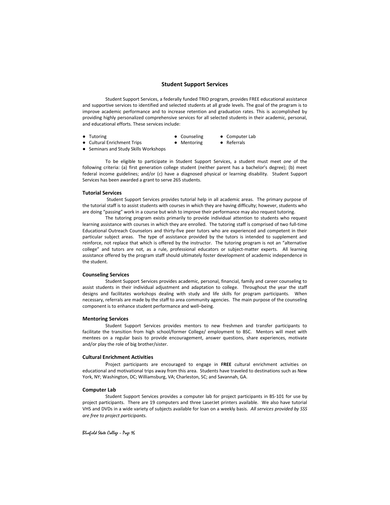#### **Student Support Services**

Student Support Services, a federally funded TRIO program, provides FREE educational assistance and supportive services to identified and selected students at all grade levels. The goal of the program is to improve academic performance and to increase retention and graduation rates. This is accomplished by providing highly personalized comprehensive services for all selected students in their academic, personal, and educational efforts. These services include:

- 
- Tutoring Counseling Counseling Computer Lab
- Cultural Enrichment Trips Mentoring Referrals
- Seminars and Study Skills Workshops

To be eligible to participate in Student Support Services, a student must meet *one* of the following criteria: (a) first generation college student (neither parent has a bachelor's degree); (b) meet federal income guidelines; and/or (c) have a diagnosed physical or learning disability. Student Support Services has been awarded a grant to serve 265 students.

#### **Tutorial Services**

Student Support Services provides tutorial help in all academic areas. The primary purpose of the tutorial staff is to assist students with courses in which they are having difficulty; however, students who are doing "passing" work in a course but wish to improve their performance may also request tutoring.

The tutoring program exists primarily to provide individual attention to students who request learning assistance with courses in which they are enrolled. The tutoring staff is comprised of two full-time Educational Outreach Counselors and thirty-five peer tutors who are experienced and competent in their particular subject areas. The type of assistance provided by the tutors is intended to supplement and reinforce, not replace that which is offered by the instructor. The tutoring program is not an "alternative college" and tutors are not, as a rule, professional educators or subject-matter experts. All learning assistance offered by the program staff should ultimately foster development of academic independence in the student.

#### **Counseling Services**

Student Support Services provides academic, personal, financial, family and career counseling to assist students in their individual adjustment and adaptation to college. Throughout the year the staff designs and facilitates workshops dealing with study and life skills for program participants. When necessary, referrals are made by the staff to area community agencies. The main purpose of the counseling component is to enhance student performance and well–being.

#### **Mentoring Services**

Student Support Services provides mentors to new freshmen and transfer participants to facilitate the transition from high school/former College/ employment to BSC. Mentors will meet with mentees on a regular basis to provide encouragement, answer questions, share experiences, motivate and/or play the role of big brother/sister.

#### **Cultural Enrichment Activities**

Project participants are encouraged to engage in **FREE** cultural enrichment activities on educational and motivational trips away from this area. Students have traveled to destinations such as New York, NY; Washington, DC; Williamsburg, VA; Charleston, SC; and Savannah, GA.

#### **Computer Lab**

Student Support Services provides a computer lab for project participants in BS-101 for use by project participants. There are 19 computers and three LaserJet printers available. We also have tutorial VHS and DVDs in a wide variety of subjects available for loan on a weekly basis. *All services provided by SSS are free to project participants.*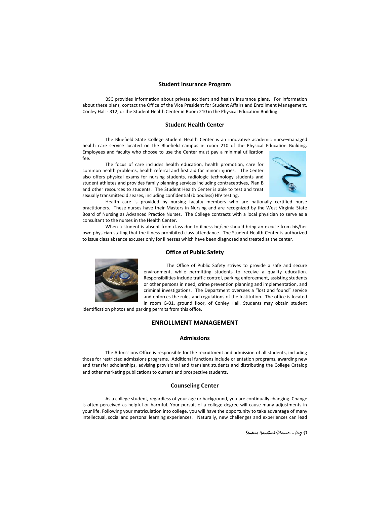#### **Student Insurance Program**

BSC provides information about private accident and health insurance plans. For information about these plans, contact the Office of the Vice President for Student Affairs and Enrollment Management, Conley Hall - 312, or the Student Health Center in Room 210 in the Physical Education Building.

#### **Student Health Center**

The Bluefield State College Student Health Center is an innovative academic nurse–managed health care service located on the Bluefield campus in room 210 of the Physical Education Building. Employees and faculty who choose to use the Center must pay a minimal utilization fee.

The focus of care includes health education, health promotion, care for common health problems, health referral and first aid for minor injuries. The Center also offers physical exams for nursing students, radiologic technology students and student athletes and provides family planning services including contraceptives, Plan B and other resources to students. The Student Health Center is able to test and treat sexually transmitted diseases, including confidential (bloodless) HIV testing.



Health care is provided by nursing faculty members who are nationally certified nurse practitioners. These nurses have their Masters in Nursing and are recognized by the West Virginia State Board of Nursing as Advanced Practice Nurses. The College contracts with a local physician to serve as a consultant to the nurses in the Health Center.

When a student is absent from class due to illness he/she should bring an excuse from his/her own physician stating that the illness prohibited class attendance. The Student Health Center is authorized to issue class absence excuses only for illnesses which have been diagnosed and treated at the center.

#### **Office of Public Safety**



The Office of Public Safety strives to provide a safe and secure environment, while permitting students to receive a quality education. Responsibilities include traffic control, parking enforcement, assisting students or other persons in need, crime prevention planning and implementation, and criminal investigations. The Department oversees a "lost and found" service and enforces the rules and regulations of the Institution. The office is located in room G-01, ground floor, of Conley Hall. Students may obtain student

identification photos and parking permits from this office.

#### **ENROLLMENT MANAGEMENT**

#### **Admissions**

The Admissions Office is responsible for the recruitment and admission of all students, including those for restricted admissions programs. Additional functions include orientation programs, awarding new and transfer scholarships, advising provisional and transient students and distributing the College Catalog and other marketing publications to current and prospective students.

#### **Counseling Center**

As a college student, regardless of your age or background, you are continually changing. Change is often perceived as helpful or harmful. Your pursuit of a college degree will cause many adjustments in your life. Following your matriculation into college, you will have the opportunity to take advantage of many intellectual, social and personal learning experiences. Naturally, new challenges and experiences can lead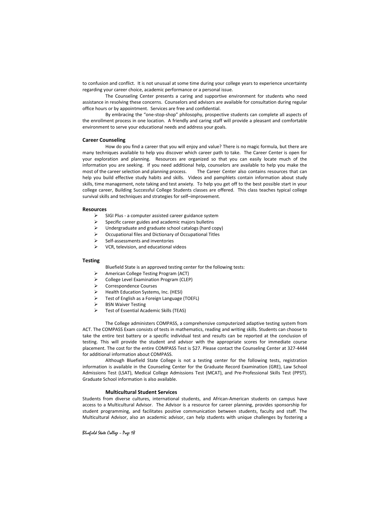to confusion and conflict. It is not unusual at some time during your college years to experience uncertainty regarding your career choice, academic performance or a personal issue.

The Counseling Center presents a caring and supportive environment for students who need assistance in resolving these concerns. Counselors and advisors are available for consultation during regular office hours or by appointment. Services are free and confidential.

By embracing the "one-stop-shop" philosophy, prospective students can complete all aspects of the enrollment process in one location. A friendly and caring staff will provide a pleasant and comfortable environment to serve your educational needs and address your goals.

#### **Career Counseling**

How do you find a career that you will enjoy and value? There is no magic formula, but there are many techniques available to help you discover which career path to take. The Career Center is open for your exploration and planning. Resources are organized so that you can easily locate much of the information you are seeking. If you need additional help, counselors are available to help you make the most of the career selection and planning process. The Career Center also contains resources that can help you build effective study habits and skills. Videos and pamphlets contain information about study skills, time management, note taking and test anxiety. To help you get off to the best possible start in your college career, Building Successful College Students classes are offered. This class teaches typical college survival skills and techniques and strategies for self–improvement.

#### **Resources**

- $\triangleright$  SIGI Plus a computer assisted career guidance system
- $\triangleright$  Specific career guides and academic majors bulletins
- Undergraduate and graduate school catalogs (hard copy)
- Occupational files and Dictionary of Occupational Titles
- Self-assessments and inventories
- $\triangleright$  VCR, television, and educational videos

#### **Testing**

- Bluefield State is an approved testing center for the following tests:
- American College Testing Program (ACT)
- College Level Examination Program (CLEP)
- ▶ Correspondence Courses
- > Health Education Systems, Inc. (HESI)
- Test of English as a Foreign Language (TOEFL)
- BSN Waiver Testing
- Test of Essential Academic Skills (TEAS)

The College administers COMPASS, a comprehensive computerized adaptive testing system from ACT. The COMPASS Exam consists of tests in mathematics, reading and writing skills. Students can choose to take the entire test battery or a specific individual test and results can be reported at the conclusion of testing. This will provide the student and advisor with the appropriate scores for immediate course placement. The cost for the entire COMPASS Test is \$27. Please contact the Counseling Center at 327-4444 for additional information about COMPASS.

Although Bluefield State College is not a testing center for the following tests, registration information is available in the Counseling Center for the Graduate Record Examination (GRE), Law School Admissions Test (LSAT), Medical College Admissions Test (MCAT), and Pre-Professional Skills Test (PPST). Graduate School information is also available.

#### **Multicultural Student Services**

Students from diverse cultures, international students, and African-American students on campus have access to a Multicultural Advisor. The Advisor is a resource for career planning, provides sponsorship for student programming, and facilitates positive communication between students, faculty and staff. The Multicultural Advisor, also an academic advisor, can help students with unique challenges by fostering a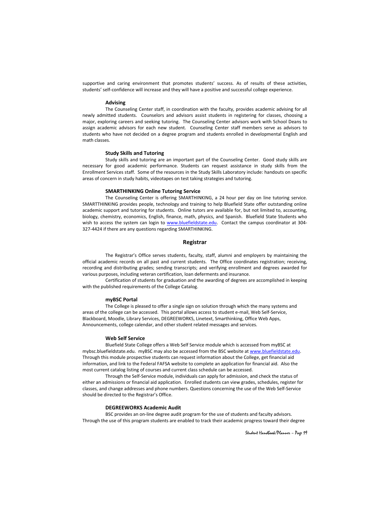supportive and caring environment that promotes students' success. As of results of these activities, students' self-confidence will increase and they will have a positive and successful college experience.

#### **Advising**

The Counseling Center staff, in coordination with the faculty, provides academic advising for all newly admitted students. Counselors and advisors assist students in registering for classes, choosing a major, exploring careers and seeking tutoring. The Counseling Center advisors work with School Deans to assign academic advisors for each new student. Counseling Center staff members serve as advisors to students who have not decided on a degree program and students enrolled in developmental English and math classes.

#### **Study Skills and Tutoring**

Study skills and tutoring are an important part of the Counseling Center. Good study skills are necessary for good academic performance. Students can request assistance in study skills from the Enrollment Services staff. Some of the resources in the Study Skills Laboratory include: handouts on specific areas of concern in study habits, videotapes on test taking strategies and tutoring.

#### **SMARTHINKING Online Tutoring Service**

The Counseling Center is offering SMARTHINKING, a 24 hour per day on line tutoring service. SMARTTHINKING provides people, technology and training to help Bluefield State offer outstanding online academic support and tutoring for students. Online tutors are available for, but not limited to, accounting, biology, chemistry, economics, English, finance, math, physics, and Spanish. Bluefield State Students who wish to access the system can login to [www.bluefieldstate.edu.](http://www.bluefieldstate.edu/) Contact the campus coordinator at 304- 327-4424 if there are any questions regarding SMARTHINKING.

#### **Registrar**

The Registrar's Office serves students, faculty, staff, alumni and employers by maintaining the official academic records on all past and current students. The Office coordinates registration; receiving, recording and distributing grades; sending transcripts; and verifying enrollment and degrees awarded for various purposes, including veteran certification, loan deferments and insurance.

Certification of students for graduation and the awarding of degrees are accomplished in keeping with the published requirements of the College Catalog.

#### **myBSC Portal**

The College is pleased to offer a single sign on solution through which the many systems and areas of the college can be accessed. This portal allows access to student e-mail, Web Self-Service, Blackboard, Moodle, Library Services, DEGREEWORKS, Linetext, Smarthinking, Office Web Apps, Announcements, college calendar, and other student related messages and services.

#### **Web Self Service**

Bluefield State College offers a Web Self Service module which is accessed from myBSC at mybsc.bluefieldstate.edu. myBSC may also be accessed from the BSC website a[t www.bluefieldstate.edu.](http://www.bluefieldstate.edu/) Through this module prospective students can request information about the College, get financial aid information, and link to the Federal FAFSA website to complete an application for financial aid. Also the most current catalog listing of courses and current class schedule can be accessed.

Through the Self-Service module, individuals can apply for admission, and check the status of either an admissions or financial aid application. Enrolled students can view grades, schedules, register for classes, and change addresses and phone numbers. Questions concerning the use of the Web Self-Service should be directed to the Registrar's Office.

#### **DEGREEWORKS Academic Audit**

BSC provides an on-line degree audit program for the use of students and faculty advisors. Through the use of this program students are enabled to track their academic progress toward their degree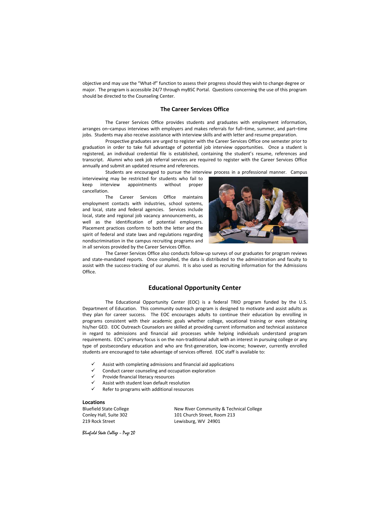objective and may use the "What-if" function to assess their progress should they wish to change degree or major. The program is accessible 24/7 through myBSC Portal. Questions concerning the use of this program should be directed to the Counseling Center.

#### **The Career Services Office**

The Career Services Office provides students and graduates with employment information, arranges on–campus interviews with employers and makes referrals for full–time, summer, and part–time jobs. Students may also receive assistance with interview skills and with letter and resume preparation.

Prospective graduates are urged to register with the Career Services Office one semester prior to graduation in order to take full advantage of potential job interview opportunities. Once a student is registered, an individual credential file is established, containing the student's resume, references and transcript. Alumni who seek job referral services are required to register with the Career Services Office annually and submit an updated resume and references.

Students are encouraged to pursue the interview process in a professional manner. Campus

interviewing may be restricted for students who fail to keep interview appointments without proper cancellation.

The Career Services Office maintains employment contacts with industries, school systems, and local, state and federal agencies. Services include local, state and regional job vacancy announcements, as well as the identification of potential employers. Placement practices conform to both the letter and the spirit of federal and state laws and regulations regarding nondiscrimination in the campus recruiting programs and in all services provided by the Career Services Office.



The Career Services Office also conducts follow-up surveys of our graduates for program reviews and state-mandated reports. Once compiled, the data is distributed to the administration and faculty to assist with the success-tracking of our alumni. It is also used as recruiting information for the Admissions Office.

#### **Educational Opportunity Center**

The Educational Opportunity Center (EOC) is a federal TRIO program funded by the U.S. Department of Education. This community outreach program is designed to motivate and assist adults as they plan for career success. The EOC encourages adults to continue their education by enrolling in programs consistent with their academic goals whether college, vocational training or even obtaining his/her GED. EOC Outreach Counselors are skilled at providing current information and technical assistance in regard to admissions and financial aid processes while helping individuals understand program requirements. EOC's primary focus is on the non-traditional adult with an interest in pursuing college or any type of postsecondary education and who are first-generation, low-income; however, currently enrolled students are encouraged to take advantage of services offered. EOC staff is available to:

- Assist with completing admissions and financial aid applications
- Conduct career counseling and occupation exploration
- Provide financial literacy resources
- Assist with student loan default resolution
- Refer to programs with additional resources

#### **Locations**

219 Rock Street Lewisburg, WV 24901

Bluefield State College New River Community & Technical College Conley Hall, Suite 302 101 Church Street, Room 213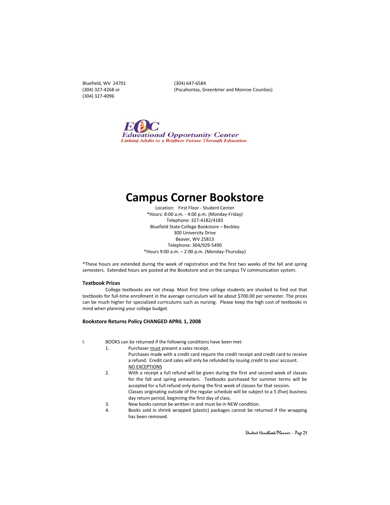Bluefield, WV 24701 (304) 647-6584 (304) 327-4096

(304) 327-4268 or (Pocahontas, Greenbrier and Monroe Counties)



## **Campus Corner Bookstore**

Location: First Floor - Student Center \*Hours: 8:00 a.m. - 4:00 p.m. (Monday-Friday) Telephone: 327-4182/4183 Bluefield State College Bookstore – Beckley 300 University Drive Beaver, WV 25813 Telephone: 304/929-5490 \*Hours 9:00 a.m. – 2:00 p.m. (Monday-Thursday)

\*These hours are extended during the week of registration and the first two weeks of the fall and spring semesters. Extended hours are posted at the Bookstore and on the campus TV communication system.

#### **Textbook Prices**

College textbooks are not cheap. Most first time college students are shocked to find out that textbooks for full-time enrollment in the average curriculum will be about \$700.00 per semester. The prices can be much higher for specialized curriculums such as nursing. Please keep the high cost of textbooks in mind when planning your college budget.

#### **Bookstore Returns Policy CHANGED APRIL 1, 2008**

- I. BOOKS can be returned if the following conditions have been met:
	- 1. Purchaser must present a sales receipt.
		- Purchases made with a credit card require the credit receipt and credit card to receive a refund. Credit card sales will only be refunded by issuing credit to your account. NO EXCEPTIONS
	- 2. With a receipt a full refund will be given during the first and second week of classes for the fall and spring semesters. Textbooks purchased for summer terms will be accepted for a full refund only during the first week of classes for that session. Classes originating outside of the regular schedule will be subject to a 5 (five) business day return period, beginning the first day of class.
	- 3. New books cannot be written in and must be in NEW condition.
	- 4. Books sold in shrink wrapped (plastic) packages cannot be returned if the wrapping has been removed.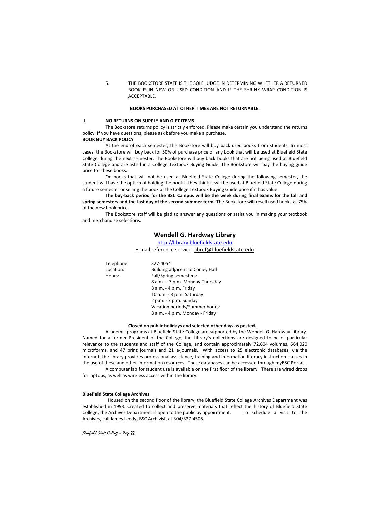5. THE BOOKSTORE STAFF IS THE SOLE JUDGE IN DETERMINING WHETHER A RETURNED BOOK IS IN NEW OR USED CONDITION AND IF THE SHRINK WRAP CONDITION IS ACCEPTABLE.

#### **BOOKS PURCHASED AT OTHER TIMES ARE NOT RETURNABLE.**

#### II. **NO RETURNS ON SUPPLY AND GIFT ITEMS**

The Bookstore returns policy is strictly enforced. Please make certain you understand the returns policy. If you have questions, please ask before you make a purchase.

#### **BOOK BUY BACK POLICY**

At the end of each semester, the Bookstore will buy back used books from students. In most cases, the Bookstore will buy back for 50% of purchase price of any book that will be used at Bluefield State College during the next semester. The Bookstore will buy back books that are not being used at Bluefield State College and are listed in a College Textbook Buying Guide. The Bookstore will pay the buying guide price for these books.

On books that will not be used at Bluefield State College during the following semester, the student will have the option of holding the book if they think it will be used at Bluefield State College during a future semester or selling the book at the College Textbook Buying Guide price if it has value.

**The buy-back period for the BSC Campus will be the week during final exams for the fall and spring semesters and the last day of the second summer term.** The Bookstore will resell used books at 75% of the new book price.

The Bookstore staff will be glad to answer any questions or assist you in making your textbook and merchandise selections.

#### **Wendell G. Hardway Library**

[http://library.bluefieldstate.edu](http://library.bluefieldstate.edu/)

E-mail reference service[: libref@bluefieldstate.edu](mailto:libref@bluefieldstate.edu)

Telephone: 327-4054 Location: Building adjacent to Conley Hall Hours: Fall/Spring semesters: 8 a.m. – 7 p.m. Monday-Thursday 8 a.m. - 4 p.m. Friday 10 a.m. - 3 p.m. Saturday 2 p.m. - 7 p.m. Sunday Vacation periods/Summer hours: 8 a.m. - 4 p.m. Monday - Friday

#### **Closed on public holidays and selected other days as posted.**

Academic programs at Bluefield State College are supported by the Wendell G. Hardway Library. Named for a former President of the College, the Library's collections are designed to be of particular relevance to the students and staff of the College, and contain approximately 72,604 volumes, 664,020 microforms, and 47 print journals and 21 e-journals. With access to 25 electronic databases, via the Internet, the library provides professional assistance, training and information literacy instruction classes in the use of these and other information resources. These databases can be accessed through myBSC Portal.

A computer lab for student use is available on the first floor of the library. There are wired drops for laptops, as well as wireless access within the library.

#### **Bluefield State College Archives**

 Housed on the second floor of the library, the Bluefield State College Archives Department was established in 1993. Created to collect and preserve materials that reflect the history of Bluefield State College, the Archives Department is open to the public by appointment. To schedule a visit to the Archives, call James Leedy, BSC Archivist, at 304/327-4506.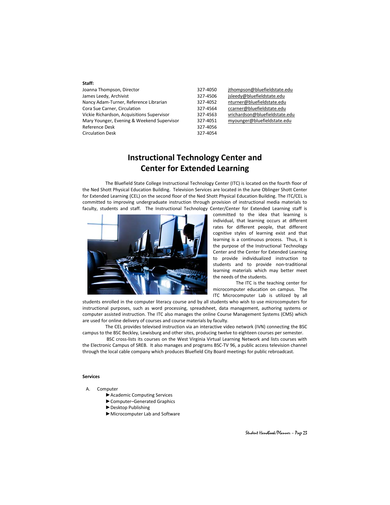| Staff:                                     |          |                                |
|--------------------------------------------|----------|--------------------------------|
| Joanna Thompson, Director                  | 327-4050 | jthompson@bluefieldstate.edu   |
| James Leedy, Archivist                     | 327-4506 | jsleedy@bluefieldstate.edu     |
| Nancy Adam-Turner, Reference Librarian     | 327-4052 | nturner@bluefieldstate.edu     |
| Cora Sue Carner, Circulation               | 327-4564 | ccarner@bluefieldstate.edu     |
| Vickie Richardson, Acquisitions Supervisor | 327-4563 | vrichardson@bluefieldstate.edu |
| Mary Younger, Evening & Weekend Supervisor | 327-4051 | myounger@bluefieldstate.edu    |
| Reference Desk                             | 327-4056 |                                |
| <b>Circulation Desk</b>                    | 327-4054 |                                |

## **Instructional Technology Center and Center for Extended Learning**

The Bluefield State College Instructional Technology Center (ITC) is located on the fourth floor of the Ned Shott Physical Education Building. Television Services are located in the June Oblinger Shott Center for Extended Learning (CEL) on the second floor of the Ned Shott Physical Education Building. The ITC/CEL is committed to improving undergraduate instruction through provision of instructional media materials to faculty, students and staff. The Instructional Technology Center/Center for Extended Learning staff is



committed to the idea that learning is individual, that learning occurs at different rates for different people, that different cognitive styles of learning exist and that learning is a continuous process. Thus, it is the purpose of the Instructional Technology Center and the Center for Extended Learning to provide individualized instruction to students and to provide non-traditional learning materials which may better meet the needs of the students.

The ITC is the teaching center for microcomputer education on campus. The ITC Microcomputer Lab is utilized by all

students enrolled in the computer literacy course and by all students who wish to use microcomputers for instructional purposes, such as word processing, spreadsheet, data management, authoring systems or computer assisted instruction. The ITC also manages the online Course Management Systems (CMS) which are used for online delivery of courses and course materials by faculty.

The CEL provides televised instruction via an interactive video network (IVN) connecting the BSC campus to the BSC Beckley, Lewisburg and other sites, producing twelve to eighteen courses per semester.

BSC cross-lists its courses on the West Virginia Virtual Learning Network and lists courses with the Electronic Campus of SREB. It also manages and programs BSC-TV 96, a public access television channel through the local cable company which produces Bluefield City Board meetings for public rebroadcast.

#### **Services**

- A. Computer
	- ►Academic Computing Services
	- ►Computer–Generated Graphics
	- ►Desktop Publishing
	- ►Microcomputer Lab and Software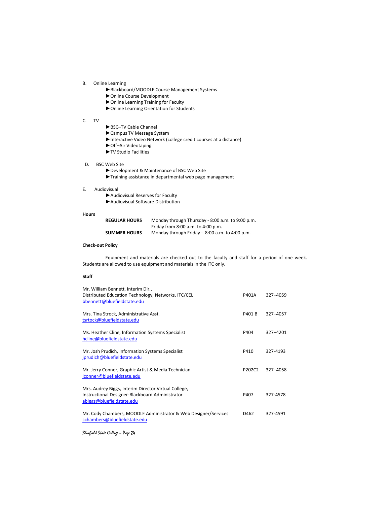- B. Online Learning
	- ►Blackboard/MOODLE Course Management Systems
	- ►Online Course Development
	- ►Online Learning Training for Faculty
	- ►Online Learning Orientation for Students

#### C. TV

- ►BSC–TV Cable Channel
- ►Campus TV Message System
- ►Interactive Video Network (college credit courses at a distance)
- ►Off–Air Videotaping
- ►TV Studio Facilities

#### D. BSC Web Site

- ►Development & Maintenance of BSC Web Site
- ►Training assistance in departmental web page management

#### E. Audiovisual

- ►Audiovisual Reserves for Faculty
- ►Audiovisual Software Distribution

#### **Hours**

| <b>REGULAR HOURS</b> | Monday through Thursday - 8:00 a.m. to 9:00 p.m. |
|----------------------|--------------------------------------------------|
|                      | Friday from $8:00$ a.m. to $4:00$ p.m.           |
| <b>SUMMER HOURS</b>  | Monday through Friday - 8:00 a.m. to 4:00 p.m.   |

#### **Check-out Policy**

Equipment and materials are checked out to the faculty and staff for a period of one week. Students are allowed to use equipment and materials in the ITC only.

#### **Staff**

| Mr. William Bennett, Interim Dir.,<br>Distributed Education Technology, Networks, ITC/CEL<br>bbennett@bluefieldstate.edu             | P401A  | 327-4059 |
|--------------------------------------------------------------------------------------------------------------------------------------|--------|----------|
| Mrs. Tina Strock, Administrative Asst.<br>tsrtock@bluefieldstate.edu                                                                 | P401 B | 327-4057 |
| Ms. Heather Cline, Information Systems Specialist<br>hcline@bluefieldstate.edu                                                       | P404   | 327-4201 |
| Mr. Josh Prudich, Information Systems Specialist<br>jprudich@bluefieldstate.edu                                                      | P410   | 327-4193 |
| Mr. Jerry Conner, Graphic Artist & Media Technician<br>jconner@bluefieldstate.edu                                                    | P202C2 | 327-4058 |
| Mrs. Audrey Biggs, Interim Director Virtual College,<br>Instructional Designer-Blackboard Administrator<br>abiggs@bluefieldstate.edu | P407   | 327-4578 |
| Mr. Cody Chambers, MOODLE Administrator & Web Designer/Services<br>cchambers@bluefieldstate.edu                                      | D462   | 327-4591 |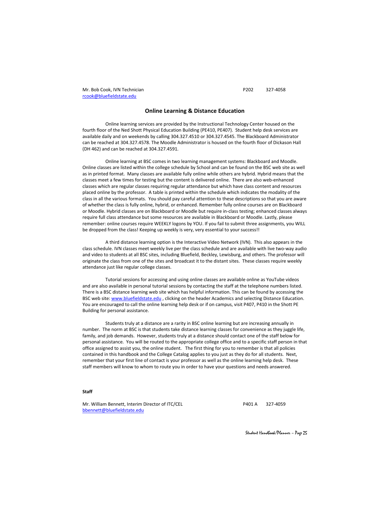Mr. Bob Cook, IVN Technician P202 327-4058 [rcook@bluefieldstate.edu](mailto:rcook@bluefieldstate.edu)

#### **Online Learning & Distance Education**

Online learning services are provided by the Instructional Technology Center housed on the fourth floor of the Ned Shott Physical Education Building (PE410, PE407). Student help desk services are available daily and on weekends by calling 304.327.4510 or 304.327.4545. The Blackboard Administrator can be reached at 304.327.4578. The Moodle Administrator is housed on the fourth floor of Dickason Hall (DH 462) and can be reached at 304.327.4591.

Online learning at BSC comes in two learning management systems: Blackboard and Moodle. Online classes are listed within the college schedule by School and can be found on the BSC web site as well as in printed format. Many classes are available fully online while others are hybrid. Hybrid means that the classes meet a few times for testing but the content is delivered online. There are also web-enhanced classes which are regular classes requiring regular attendance but which have class content and resources placed online by the professor. A table is printed within the schedule which indicates the modality of the class in all the various formats. You should pay careful attention to these descriptions so that you are aware of whether the class is fully online, hybrid, or enhanced. Remember fully online courses are on Blackboard or Moodle. Hybrid classes are on Blackboard or Moodle but require in-class testing; enhanced classes always require full class attendance but some resources are available in Blackboard or Moodle. Lastly, please remember: online courses require WEEKLY logons by YOU. If you fail to submit three assignments, you WILL be dropped from the class! Keeping up weekly is very, very essential to your success!!

A third distance learning option is the Interactive Video Network (IVN). This also appears in the class schedule. IVN classes meet weekly live per the class schedule and are available with live two-way audio and video to students at all BSC sites, including Bluefield, Beckley, Lewisburg, and others. The professor will originate the class from one of the sites and broadcast it to the distant sites. These classes require weekly attendance just like regular college classes.

Tutorial sessions for accessing and using online classes are available online as YouTube videos and are also available in personal tutorial sessions by contacting the staff at the telephone numbers listed. There is a BSC distance learning web site which has helpful information. This can be found by accessing the BSC web site[: www.bluefieldstate.edu](http://www.bluefieldstate.edu/), clicking on the header Academics and selecting Distance Education. You are encouraged to call the online learning help desk or if on campus, visit P407, P410 in the Shott PE Building for personal assistance.

Students truly at a distance are a rarity in BSC online learning but are increasing annually in number. The norm at BSC is that students take distance learning classes for convenience as they juggle life, family, and job demands. However, students truly at a distance should contact one of the staff below for personal assistance. You will be routed to the appropriate college office and to a specific staff person in that office assigned to assist you, the online student. The first thing for you to remember is that all policies contained in this handbook and the College Catalog applies to you just as they do for all students. Next, remember that your first line of contact is your professor as well as the online learning help desk. These staff members will know to whom to route you in order to have your questions and needs answered.

#### **Staff**

Mr. William Bennett, Interim Director of ITC/CEL P401 A 327-4059 [bbennett@bluefieldstate.edu](mailto:bbennett@bluefieldstate.edu)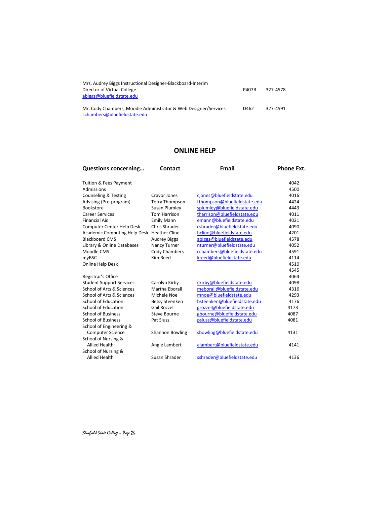| Mrs. Audrey Biggs Instructional Designer-Blackboard-Interim<br>Director of Virtual College<br>abiggs@bluefieldstate.edu | <b>P407B</b> | 327-4578 |
|-------------------------------------------------------------------------------------------------------------------------|--------------|----------|
| Mr. Cody Chambers, Moodle Administrator & Web Designer/Services<br>cchambers@bluefieldstate.edu                         | D462         | 327-4591 |

#### **ONLINE HELP**

| <b>Questions concerning</b>                | Contact                | Email                        | Phone Ext. |
|--------------------------------------------|------------------------|------------------------------|------------|
| Tuition & Fees Payment                     |                        |                              | 4042       |
| Admissions                                 |                        |                              | 4500       |
| <b>Counseling &amp; Testing</b>            | Cravor Jones           | cjones@bluefieldstate.edu    | 4016       |
| Advising (Pre-program)                     | <b>Terry Thompson</b>  | tthompson@bluefieldstate.edu | 4424       |
| <b>Bookstore</b>                           | Susan Plumley          | splumley@bluefieldstate.edu  | 4443       |
| <b>Career Services</b>                     | <b>Tom Harrison</b>    | tharrison@bluefieldstate.edu | 4011       |
| <b>Financial Aid</b>                       | <b>Emily Mann</b>      | emann@bluefieldstate.edu     | 4021       |
| Computer Center Help Desk                  | Chris Shrader          | cshrader@bluefieldstate.edu  | 4090       |
| Academic Computing Help Desk Heather Cline |                        | hcline@bluefieldstate.edu    | 4201       |
| <b>Blackboard CMS</b>                      | <b>Audrey Biggs</b>    | abiggs@bluefieldstate.edu    | 4578       |
| Library & Online Databases                 | Nancy Turner           | nturner@bluefieldstate.edu   | 4052       |
| Moodle CMS                                 | Cody Chambers          | cchambers@bluefieldstate.edu | 4591       |
| myBSC                                      | Kim Reed               | kreed@bluefieldstate.edu     | 4114       |
| <b>Online Help Desk</b>                    |                        |                              | 4510       |
|                                            |                        |                              | 4545       |
| Registrar's Office                         |                        |                              | 4064       |
| <b>Student Support Services</b>            | Carolyn Kirby          | ckirby@bluefieldstate.edu    | 4098       |
| School of Arts & Sciences                  | Martha Fhorall         | meborall@bluefieldstate.edu  | 4316       |
| School of Arts & Sciences                  | Michele Noe            | mnoe@bluefieldstate.edu      | 4293       |
| School of Education                        | <b>Betsy Steenken</b>  | bsteenken@bluefieldstate.edu | 4176       |
| School of Education                        | Gail Rozzel            | grozzel@bluefieldstate.edu   | 4173       |
| <b>School of Business</b>                  | Steve Bourne           | gbourne@bluefieldstate.edu   | 4087       |
| <b>School of Business</b>                  | Pat Sluss              | psluss@bluefieldstate.edu    | 4081       |
| School of Engineering &                    |                        |                              |            |
| <b>Computer Science</b>                    | <b>Shannon Bowling</b> | sbowling@bluefieldstate.edu  | 4131       |
| School of Nursing &                        |                        |                              |            |
| <b>Allied Health</b>                       | Angie Lambert          | alambert@bluefieldstate.edu  | 4141       |
| School of Nursing &                        |                        |                              |            |
| <b>Allied Health</b>                       | Susan Shrader          | sshrader@bluefieldstate.edu  | 4136       |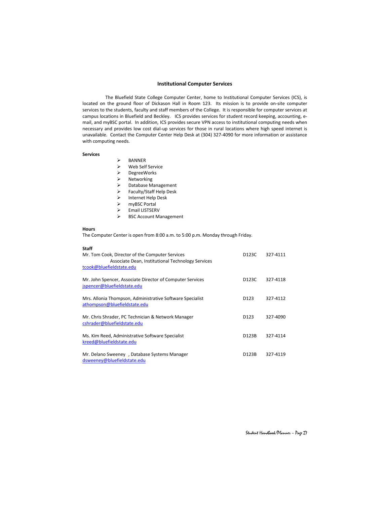#### **Institutional Computer Services**

The Bluefield State College Computer Center, home to Institutional Computer Services (ICS), is located on the ground floor of Dickason Hall in Room 123. Its mission is to provide on-site computer services to the students, faculty and staff members of the College. It is responsible for computer services at campus locations in Bluefield and Beckley. ICS provides services for student record keeping, accounting, email, and myBSC portal. In addition, ICS provides secure VPN access to institutional computing needs when necessary and provides low cost dial-up services for those in rural locations where high speed internet is unavailable. Contact the Computer Center Help Desk at (304) 327-4090 for more information or assistance with computing needs.

#### **Services**

| <b>BANNER</b> |
|---------------|
|               |

- 
- $\triangleright$  Web Self Service<br> $\triangleright$  DegreeWorks
- > DegreeWorks<br>> Networking
- > Networking<br>> Database Ma  $\triangleright$  Database Management<br> $\triangleright$  Faculty/Staff Help Desk
- 
- $\ge$  Faculty/Staff Help Desk<br> $\ge$  Internet Help Desk  $\triangleright$  Internet Help Desk<br> $\triangleright$  myBSC Portal
- myBSC Portal
- 
- $\triangleright$  Email LISTSERV<br> $\triangleright$  BSC Account Ma BSC Account Management

#### **Hours**

The Computer Center is open from 8:00 a.m. to 5:00 p.m. Monday through Friday.

#### **Staff**

| Mr. Tom Cook, Director of the Computer Services<br>Associate Dean, Institutional Technology Services<br>tcook@bluefieldstate.edu | D123C            | 327-4111 |
|----------------------------------------------------------------------------------------------------------------------------------|------------------|----------|
| Mr. John Spencer, Associate Director of Computer Services<br>jspencer@bluefieldstate.edu                                         | D123C            | 327-4118 |
| Mrs. Allonia Thompson, Administrative Software Specialist<br>athompson@bluefieldstate.edu                                        | D123             | 327-4112 |
| Mr. Chris Shrader, PC Technician & Network Manager<br>cshrader@bluefieldstate.edu                                                | D <sub>123</sub> | 327-4090 |
| Ms. Kim Reed, Administrative Software Specialist<br>kreed@bluefieldstate.edu                                                     | D123B            | 327-4114 |
| Mr. Delano Sweeney, Database Systems Manager<br>dsweeney@bluefieldstate.edu                                                      | D123B            | 327-4119 |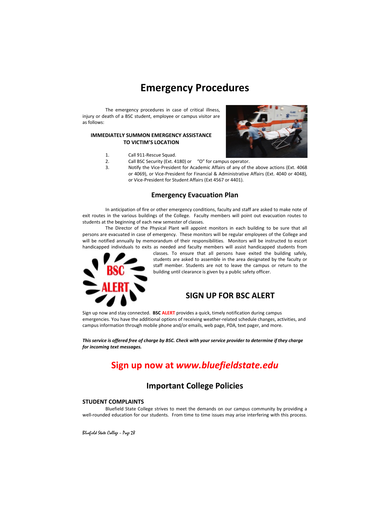## **Emergency Procedures**

The emergency procedures in case of critical illness, injury or death of a BSC student, employee or campus visitor are as follows:

#### **IMMEDIATELY SUMMON EMERGENCY ASSISTANCE TO VICTIM'S LOCATION**

- 1. Call 911-Rescue Squad.
- 2. Call BSC Security (Ext. 4180) or "O" for campus operator.
- 3. Notify the Vice-President for Academic Affairs of any of the above actions (Ext. 4068 or 4069), or Vice-President for Financial & Administrative Affairs (Ext. 4040 or 4048), or Vice-President for Student Affairs (Ext 4567 or 4401).

#### **Emergency Evacuation Plan**

In anticipation of fire or other emergency conditions, faculty and staff are asked to make note of exit routes in the various buildings of the College. Faculty members will point out evacuation routes to students at the beginning of each new semester of classes.

The Director of the Physical Plant will appoint monitors in each building to be sure that all persons are evacuated in case of emergency. These monitors will be regular employees of the College and will be notified annually by memorandum of their responsibilities. Monitors will be instructed to escort handicapped individuals to exits as needed and faculty members will assist handicapped students from



classes. To ensure that all persons have exited the building safely, students are asked to assemble in the area designated by the faculty or staff member. Students are not to leave the campus or return to the building until clearance is given by a public safety officer.

### **SIGN UP FOR BSC ALERT**

Sign up now and stay connected. **BSC ALERT** provides a quick, timely notification during campus emergencies. You have the additional options of receiving weather-related schedule changes, activities, and campus information through mobile phone and/or emails, web page, PDA, text pager, and more.

*This service is offered free of charge by BSC. Check with your service provider to determine if they charge for incoming text messages.*

## **Sign up now at** *www.bluefieldstate.edu*

#### **Important College Policies**

#### **STUDENT COMPLAINTS**

Bluefield State College strives to meet the demands on our campus community by providing a well-rounded education for our students. From time to time issues may arise interfering with this process.

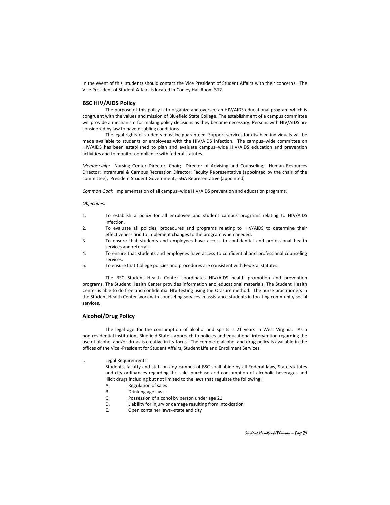In the event of this, students should contact the Vice President of Student Affairs with their concerns. The Vice President of Student Affairs is located in Conley Hall Room 312.

#### **BSC HIV/AIDS Policy**

The purpose of this policy is to organize and oversee an HIV/AIDS educational program which is congruent with the values and mission of Bluefield State College. The establishment of a campus committee will provide a mechanism for making policy decisions as they become necessary. Persons with HIV/AIDS are considered by law to have disabling conditions.

The legal rights of students must be guaranteed. Support services for disabled individuals will be made available to students or employees with the HIV/AIDS infection. The campus–wide committee on HIV/AIDS has been established to plan and evaluate campus–wide HIV/AIDS education and prevention activities and to monitor compliance with federal statutes.

*Membership:* Nursing Center Director, Chair; Director of Advising and Counseling; Human Resources Director; Intramural & Campus Recreation Director; Faculty Representative (appointed by the chair of the committee); President Student Government; SGA Representative (appointed)

*Common Goal:* Implementation of all campus–wide HIV/AIDS prevention and education programs.

#### *Objectives:*

- 1. To establish a policy for all employee and student campus programs relating to HIV/AIDS infection.
- 2. To evaluate all policies, procedures and programs relating to HIV/AIDS to determine their effectiveness and to implement changes to the program when needed.
- 3. To ensure that students and employees have access to confidential and professional health services and referrals.
- 4. To ensure that students and employees have access to confidential and professional counseling services.
- 5. To ensure that College policies and procedures are consistent with Federal statutes.

The BSC Student Health Center coordinates HIV/AIDS health promotion and prevention programs. The Student Health Center provides information and educational materials. The Student Health Center is able to do free and confidential HIV testing using the Orasure method. The nurse practitioners in the Student Health Center work with counseling services in assistance students in locating community social services.

#### **Alcohol/Drug Policy**

The legal age for the consumption of alcohol and spirits is 21 years in West Virginia. As a non-residential institution, Bluefield State's approach to policies and educational intervention regarding the use of alcohol and/or drugs is creative in its focus. The complete alcohol and drug policy is available in the offices of the Vice -President for Student Affairs, Student Life and Enrollment Services.

I. Legal Requirements

Students, faculty and staff on any campus of BSC shall abide by all Federal laws, State statutes and city ordinances regarding the sale, purchase and consumption of alcoholic beverages and illicit drugs including but not limited to the laws that regulate the following:

- A. Regulation of sales
- B. Drinking age laws
- C. Possession of alcohol by person under age 21
- D. Liability for injury or damage resulting from intoxication
- E. Open container laws--state and city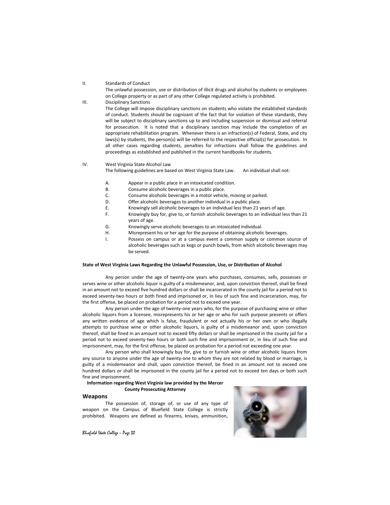#### II. Standards of Conduct

The unlawful possession, use or distribution of illicit drugs and alcohol by students or employees on College property or as part of any other College regulated activity is prohibited.

III. Disciplinary Sanctions The College will impose disciplinary sanctions on students who violate the established standards of conduct. Students should be cognizant of the fact that for violation of these standards, they will be subject to disciplinary sanctions up to and including suspension or dismissal and referral for prosecution. It is noted that a disciplinary sanction may include the completion of an appropriate rehabilitation program. Whenever there is an infraction(s) of Federal, State, and city laws(s) by students, the person(s) will be referred to the respective official(s) for prosecution. In all other cases regarding students, penalties for infractions shall follow the guidelines and proceedings as established and published in the current handbooks for students.

#### IV. West Virginia State Alcohol Law

The following guidelines are based on West Virginia State Law. An individual shall not:

- A. Appear in a public place in an intoxicated condition.<br>R. Consume alcoholic beverages in a public place
- Consume alcoholic beverages in a public place.
- C. Consume alcoholic beverages in a motor vehicle, moving or parked.
- D. Offer alcoholic beverages to another individual in a public place.
- E. Knowingly sell alcoholic beverages to an individual less than 21 years of age.
- F. Knowingly buy for, give to, or furnish alcoholic beverages to an individual less than 21 years of age.
- G. Knowingly serve alcoholic beverages to an intoxicated individual.
- H. Misrepresent his or her age for the purpose of obtaining alcoholic beverages.
- I. Possess on campus or at a campus event a common supply or common source of alcoholic beverages such as kegs or punch bowls, from which alcoholic beverages may be served.

#### **State of West Virginia Laws Regarding the Unlawful Possession, Use, or Distribution of Alcohol**

Any person under the age of twenty-one years who purchases, consumes, sells, possesses or serves wine or other alcoholic liquor is guilty of a misdemeanor, and, upon conviction thereof, shall be fined in an amount not to exceed five hundred dollars or shall be incarcerated in the county jail for a period not to exceed seventy-two hours or both fined and imprisoned or, in lieu of such fine and incarceration, may, for the first offense, be placed on probation for a period not to exceed one year.

Any person under the age of twenty-one years who, for the purpose of purchasing wine or other alcoholic liquors from a licensee, misrepresents his or her age or who for such purpose presents or offers any written evidence of age which is false, fraudulent or not actually his or her own or who illegally attempts to purchase wine or other alcoholic liquors, is guilty of a misdemeanor and, upon conviction thereof, shall be fined in an amount not to exceed fifty dollars or shall be imprisoned in the county jail for a period not to exceed seventy-two hours or both such fine and imprisonment or, in lieu of such fine and imprisonment, may, for the first offense, be placed on probation for a period not exceeding one year.

Any person who shall knowingly buy for, give to or furnish wine or other alcoholic liquors from any source to anyone under the age of twenty-one to whom they are not related by blood or marriage, is guilty of a misdemeanor and shall, upon conviction thereof, be fined in an amount not to exceed one hundred dollars or shall be imprisoned in the county jail for a period not to exceed ten days or both such fine and imprisonment.

#### **Information regarding West Virginia law provided by the Mercer County Prosecuting Attorney**

#### **Weapons**

The possession of, storage of, or use of any type of weapon on the Campus of Bluefield State College is strictly prohibited. Weapons are defined as firearms, knives, ammunition,

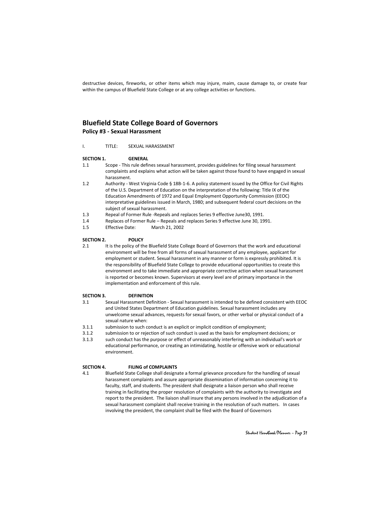destructive devices, fireworks, or other items which may injure, maim, cause damage to, or create fear within the campus of Bluefield State College or at any college activities or functions.

#### **Bluefield State College Board of Governors Policy #3 - Sexual Harassment**

I. TITLE: SEXUAL HARASSMENT

#### **SECTION 1. GENERAL**

- 1.1 Scope This rule defines sexual harassment, provides guidelines for filing sexual harassment complaints and explains what action will be taken against those found to have engaged in sexual harassment.
- 1.2 Authority West Virginia Code § 18B-1-6. A policy statement issued by the Office for Civil Rights of the U.S. Department of Education on the interpretation of the following: Title IX of the Education Amendments of 1972 and Equal Employment Opportunity Commission (EEOC) interpretative guidelines issued in March, 1980; and subsequent federal court decisions on the subject of sexual harassment.
- 1.3 Repeal of Former Rule -Repeals and replaces Series 9 effective June30, 1991.
- 1.4 Replaces of Former Rule Repeals and replaces Series 9 effective June 30, 1991.
- 1.5 Effective Date: March 21, 2002

#### **SECTION 2. POLICY**

2.1 It is the policy of the Bluefield State College Board of Governors that the work and educational environment will be free from all forms of sexual harassment of any employee, applicant for employment or student. Sexual harassment in any manner or form is expressly prohibited. It is the responsibility of Bluefield State College to provide educational opportunities to create this environment and to take immediate and appropriate corrective action when sexual harassment is reported or becomes known. Supervisors at every level are of primary importance in the implementation and enforcement of this rule.

#### **SECTION 3. DEFINITION**

- 3.1 Sexual Harassment Definition Sexual harassment is intended to be defined consistent with EEOC and United States Department of Education guidelines. Sexual harassment includes any unwelcome sexual advances, requests for sexual favors, or other verbal or physical conduct of a sexual nature when:
- 3.1.1 submission to such conduct is an explicit or implicit condition of employment;
- 3.1.2 submission to or rejection of such conduct is used as the basis for employment decisions; or
- 3.1.3 such conduct has the purpose or effect of unreasonably interfering with an individual's work or educational performance, or creating an intimidating, hostile or offensive work or educational environment.

#### **SECTION 4. FILING of COMPLAINTS**

4.1 Bluefield State College shall designate a formal grievance procedure for the handling of sexual harassment complaints and assure appropriate dissemination of information concerning it to faculty, staff, and students. The president shall designate a liaison person who shall receive training in facilitating the proper resolution of complaints with the authority to investigate and report to the president. The liaison shall insure that any persons involved in the adjudication of a sexual harassment complaint shall receive training in the resolution of such matters. In cases involving the president, the complaint shall be filed with the Board of Governors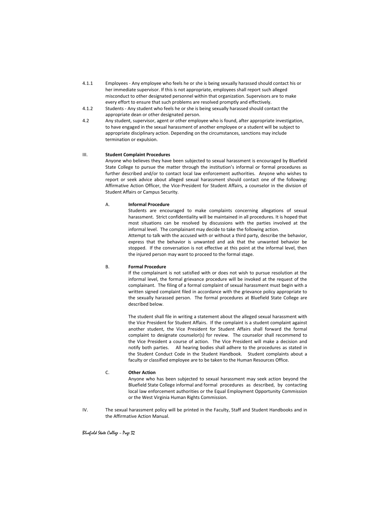- 4.1.1 Employees Any employee who feels he or she is being sexually harassed should contact his or her immediate supervisor. If this is not appropriate, employees shall report such alleged misconduct to other designated personnel within that organization. Supervisors are to make every effort to ensure that such problems are resolved promptly and effectively.
- 4.1.2 Students Any student who feels he or she is being sexually harassed should contact the appropriate dean or other designated person.
- 4.2 Any student, supervisor, agent or other employee who is found, after appropriate investigation, to have engaged in the sexual harassment of another employee or a student will be subject to appropriate disciplinary action. Depending on the circumstances, sanctions may include termination or expulsion.

#### III. **Student Complaint Procedures**

Anyone who believes they have been subjected to sexual harassment is encouraged by Bluefield State College to pursue the matter through the institution's informal or formal procedures as further described and/or to contact local law enforcement authorities. Anyone who wishes to report or seek advice about alleged sexual harassment should contact one of the following: Affirmative Action Officer, the Vice-President for Student Affairs, a counselor in the division of Student Affairs or Campus Security.

#### A. **Informal Procedure**

Students are encouraged to make complaints concerning allegations of sexual harassment. Strict confidentiality will be maintained in all procedures. It is hoped that most situations can be resolved by discussions with the parties involved at the informal level. The complainant may decide to take the following action.

Attempt to talk with the accused with or without a third party, describe the behavior, express that the behavior is unwanted and ask that the unwanted behavior be stopped. If the conversation is not effective at this point at the informal level, then the injured person may want to proceed to the formal stage.

#### B. **Formal Procedure**

If the complainant is not satisfied with or does not wish to pursue resolution at the informal level, the formal grievance procedure will be invoked at the request of the complainant. The filing of a formal complaint of sexual harassment must begin with a written signed complaint filed in accordance with the grievance policy appropriate to the sexually harassed person. The formal procedures at Bluefield State College are described below.

The student shall file in writing a statement about the alleged sexual harassment with the Vice President for Student Affairs. If the complaint is a student complaint against another student, the Vice President for Student Affairs shall forward the formal complaint to designate counselor(s) for review. The counselor shall recommend to the Vice President a course of action. The Vice President will make a decision and notify both parties. All hearing bodies shall adhere to the procedures as stated in the Student Conduct Code in the Student Handbook. Student complaints about a faculty or classified employee are to be taken to the Human Resources Office.

#### C. **Other Action**

Anyone who has been subjected to sexual harassment may seek action beyond the Bluefield State College informal and formal procedures as described, by contacting local law enforcement authorities or the Equal Employment Opportunity Commission or the West Virginia Human Rights Commission.

IV. The sexual harassment policy will be printed in the Faculty, Staff and Student Handbooks and in the Affirmative Action Manual.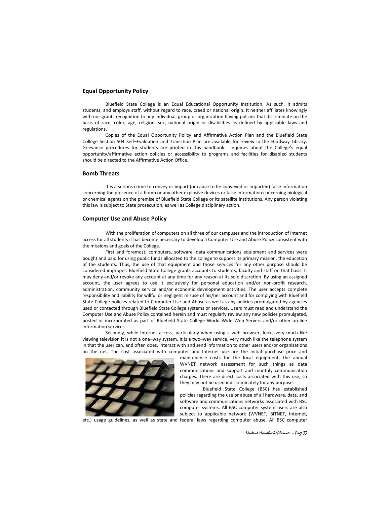#### **Equal Opportunity Policy**

Bluefield State College is an Equal Educational Opportunity Institution. As such, it admits students, and employs staff, without regard to race, creed or national origin. It neither affiliates knowingly with nor grants recognition to any individual, group or organization having policies that discriminate on the basis of race, color, age, religion, sex, national origin or disabilities as defined by applicable laws and regulations.

Copies of the Equal Opportunity Policy and Affirmative Action Plan and the Bluefield State College Section 504 Self–Evaluation and Transition Plan are available for review in the Hardway Library. Grievance procedures for students are printed in this handbook. Inquiries about the College's equal opportunity/affirmative action policies or accessibility to programs and facilities for disabled students should be directed to the Affirmative Action Office.

#### **Bomb Threats**

It is a serious crime to convey or impart (or cause to be conveyed or imparted) false information concerning the presence of a bomb or any other explosive devices or false information concerning biological or chemical agents on the premise of Bluefield State College or its satellite institutions. Any person violating this law is subject to State prosecution, as well as College disciplinary action.

#### **Computer Use and Abuse Policy**

With the proliferation of computers on all three of our campuses and the introduction of Internet access for all students it has become necessary to develop a Computer Use and Abuse Policy consistent with the missions and goals of the College.

First and foremost, computers, software, data communications equipment and services were bought and paid for using public funds allocated to the college to support its primary mission, the education of the students. Thus, the use of that equipment and those services for any other purpose should be considered improper. Bluefield State College grants accounts to students, faculty and staff on that basis. It may deny and/or revoke any account at any time for any reason at its sole discretion. By using an assigned account, the user agrees to use it exclusively for personal education and/or non-profit research, administration, community service and/or economic development activities. The user accepts complete responsibility and liability for willful or negligent misuse of his/her account and for complying with Bluefield State College policies related to Computer Use and Abuse as well as any policies promulgated by agencies used or contacted through Bluefield State College systems or services. Users must read and understand the Computer Use and Abuse Policy contained herein and must regularly review any new policies promulgated, posted or incorporated as part of Bluefield State College World Wide Web Servers and/or other on-line information services.

Secondly, while Internet access, particularly when using a web browser, looks very much like viewing television it is not a one–way system. It is a two–way service, very much like the telephone system in that the user can, and often does, interact with and send information to other users and/or organizations on the net. The cost associated with computer and Internet use are the initial purchase price and



maintenance costs for the local equipment, the annual WVNET network assessment for such things as data communications and support and monthly communication charges. There are direct costs associated with this use, so they may not be used indiscriminately for any purpose.

Bluefield State College (BSC) has established policies regarding the use or abuse of all hardware, data, and software and communications networks associated with BSC computer systems. All BSC computer system users are also subject to applicable network (WVNET, BITNET, Internet,

etc.) usage guidelines, as well as state and federal laws regarding computer abuse. All BSC computer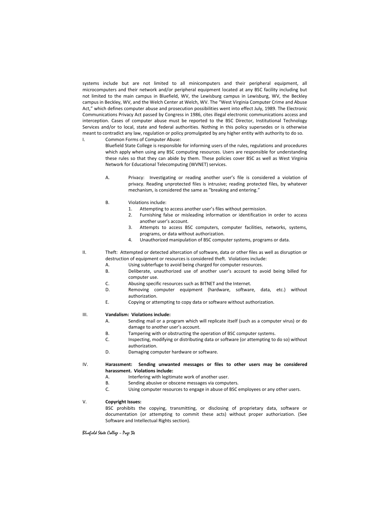systems include but are not limited to all minicomputers and their peripheral equipment, all microcomputers and their network and/or peripheral equipment located at any BSC facility including but not limited to the main campus in Bluefield, WV, the Lewisburg campus in Lewisburg, WV, the Beckley campus in Beckley, WV, and the Welch Center at Welch, WV. The "West Virginia Computer Crime and Abuse Act," which defines computer abuse and prosecution possibilities went into effect July, 1989. The Electronic Communications Privacy Act passed by Congress in 1986, cites illegal electronic communications access and interception. Cases of computer abuse must be reported to the BSC Director, Institutional Technology Services and/or to local, state and federal authorities. Nothing in this policy supersedes or is otherwise meant to contradict any law, regulation or policy promulgated by any higher entity with authority to do so. I. Common Forms of Computer Abuse:

Bluefield State College is responsible for informing users of the rules, regulations and procedures which apply when using any BSC computing resources. Users are responsible for understanding these rules so that they can abide by them. These policies cover BSC as well as West Virginia Network for Educational Telecomputing (WVNET) services.

- A. Privacy: Investigating or reading another user's file is considered a violation of privacy. Reading unprotected files is intrusive; reading protected files, by whatever mechanism, is considered the same as "breaking and entering."
- B. Violations include:
	- 1. Attempting to access another user's files without permission.
	- 2. Furnishing false or misleading information or identification in order to access another user's account.
	- 3. Attempts to access BSC computers, computer facilities, networks, systems, programs, or data without authorization.
	- 4. Unauthorized manipulation of BSC computer systems, programs or data.

II. Theft: Attempted or detected altercation of software, data or other files as well as disruption or destruction of equipment or resources is considered theft. Violations include:

- A. Using subterfuge to avoid being charged for computer resources.
- B. Deliberate, unauthorized use of another user's account to avoid being billed for computer use.
- C. Abusing specific resources such as BITNET and the Internet.
- D. Removing computer equipment (hardware, software, data, etc.) without authorization.
- E. Copying or attempting to copy data or software without authorization.

#### III. **Vandalism: Violations include:**

- A. Sending mail or a program which will replicate itself (such as a computer virus) or do damage to another user's account.
- B. Tampering with or obstructing the operation of BSC computer systems.
- C. Inspecting, modifying or distributing data or software (or attempting to do so) without authorization.
- D. Damaging computer hardware or software.
- IV. **Harassment: Sending unwanted messages or files to other users may be considered harassment. Violations include:**
	- A. Interfering with legitimate work of another user.
	- B. Sending abusive or obscene messages via computers.
	- C. Using computer resources to engage in abuse of BSC employees or any other users.

#### V. **Copyright Issues:**

BSC prohibits the copying, transmitting, or disclosing of proprietary data, software or documentation (or attempting to commit these acts) without proper authorization. (See Software and Intellectual Rights section).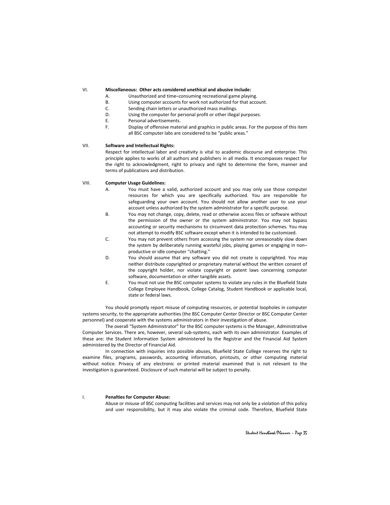#### VI. **Miscellaneous: Other acts considered unethical and abusive include:**

- A. Unauthorized and time–consuming recreational game playing.
- B. Using computer accounts for work not authorized for that account.
- C. Sending chain letters or unauthorized mass mailings.
- D. Using the computer for personal profit or other illegal purposes.
- E. Personal advertisements.
- F. Display of offensive material and graphics in public areas. For the purpose of this item all BSC computer labs are considered to be "public areas."

#### VII. **Software and Intellectual Rights:**

Respect for intellectual labor and creativity is vital to academic discourse and enterprise. This principle applies to works of all authors and publishers in all media. It encompasses respect for the right to acknowledgment, right to privacy and right to determine the form, manner and terms of publications and distribution.

#### VIII. **Computer Usage Guidelines:**

- A. You must have a valid, authorized account and you may only use those computer resources for which you are specifically authorized. You are responsible for safeguarding your own account. You should not allow another user to use your account unless authorized by the system administrator for a specific purpose.
- B. You may not change, copy, delete, read or otherwise access files or software without the permission of the owner or the system administrator. You may not bypass accounting or security mechanisms to circumvent data protection schemes. You may not attempt to modify BSC software except when it is intended to be customized.
- C. You may not prevent others from accessing the system nor unreasonably slow down the system by deliberately running wasteful jobs, playing games or engaging in non– productive or idle computer "chatting."
- D. You should assume that any software you did not create is copyrighted. You may neither distribute copyrighted or proprietary material without the written consent of the copyright holder, nor violate copyright or patent laws concerning computer software, documentation or other tangible assets.
- E. You must not use the BSC computer systems to violate any rules in the Bluefield State College Employee Handbook, College Catalog, Student Handbook or applicable local, state or federal laws.

You should promptly report misuse of computing resources, or potential loopholes in computer systems security, to the appropriate authorities (the BSC Computer Center Director or BSC Computer Center personnel) and cooperate with the systems administrators in their investigation of abuse.

The overall "System Administrator" for the BSC computer systems is the Manager, Administrative Computer Services. There are, however, several sub-systems, each with its own administrator. Examples of these are: the Student Information System administered by the Registrar and the Financial Aid System administered by the Director of Financial Aid.

In connection with inquiries into possible abuses, Bluefield State College reserves the right to examine files, programs, passwords, accounting information, printouts, or other computing material without notice. Privacy of any electronic or printed material examined that is not relevant to the investigation is guaranteed. Disclosure of such material will be subject to penalty.

#### I. **Penalties for Computer Abuse:**

Abuse or misuse of BSC computing facilities and services may not only be a violation of this policy and user responsibility, but it may also violate the criminal code. Therefore, Bluefield State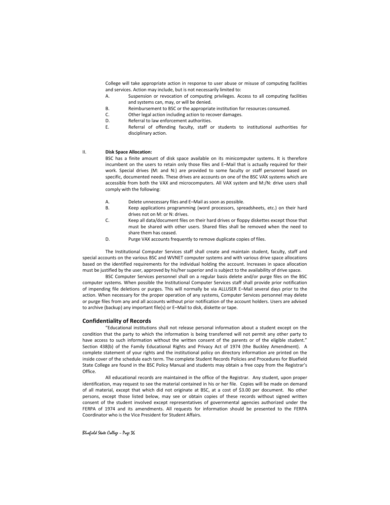College will take appropriate action in response to user abuse or misuse of computing facilities and services. Action may include, but is not necessarily limited to:

- A. Suspension or revocation of computing privileges. Access to all computing facilities and systems can, may, or will be denied.
- B. Reimbursement to BSC or the appropriate institution for resources consumed.
- C. Other legal action including action to recover damages.
- D. Referral to law enforcement authorities.
- E. Referral of offending faculty, staff or students to institutional authorities for disciplinary action.

#### II. **Disk Space Allocation:**

BSC has a finite amount of disk space available on its minicomputer systems. It is therefore incumbent on the users to retain only those files and E–Mail that is actually required for their work. Special drives (M: and N:) are provided to some faculty or staff personnel based on specific, documented needs. These drives are accounts on one of the BSC VAX systems which are accessible from both the VAX and microcomputers. All VAX system and M:/N: drive users shall comply with the following:

- A. Delete unnecessary files and E–Mail as soon as possible.
- B. Keep applications programming (word processors, spreadsheets, etc.) on their hard drives not on M: or N: drives.
- C. Keep all data/document files on their hard drives or floppy diskettes except those that must be shared with other users. Shared files shall be removed when the need to share them has ceased.
- D. Purge VAX accounts frequently to remove duplicate copies of files.

The Institutional Computer Services staff shall create and maintain student, faculty, staff and special accounts on the various BSC and WVNET computer systems and with various drive space allocations based on the identified requirements for the individual holding the account. Increases in space allocation must be justified by the user, approved by his/her superior and is subject to the availability of drive space.

BSC Computer Services personnel shall on a regular basis delete and/or purge files on the BSC computer systems. When possible the Institutional Computer Services staff shall provide prior notification of impending file deletions or purges. This will normally be via ALLUSER E–Mail several days prior to the action. When necessary for the proper operation of any systems, Computer Services personnel may delete or purge files from any and all accounts without prior notification of the account holders. Users are advised to archive (backup) any important file(s) or E–Mail to disk, diskette or tape.

#### **Confidentiality of Records**

"Educational institutions shall not release personal information about a student except on the condition that the party to which the information is being transferred will not permit any other party to have access to such information without the written consent of the parents or of the eligible student." Section 438(b) of the Family Educational Rights and Privacy Act of 1974 (the Buckley Amendment). A complete statement of your rights and the institutional policy on directory information are printed on the inside cover of the schedule each term. The complete Student Records Policies and Procedures for Bluefield State College are found in the BSC Policy Manual and students may obtain a free copy from the Registrar's Office.

All educational records are maintained in the office of the Registrar. Any student, upon proper identification, may request to see the material contained in his or her file. Copies will be made on demand of all material, except that which did not originate at BSC, at a cost of \$3.00 per document. No other persons, except those listed below, may see or obtain copies of these records without signed written consent of the student involved except representatives of governmental agencies authorized under the FERPA of 1974 and its amendments. All requests for information should be presented to the FERPA Coordinator who is the Vice President for Student Affairs.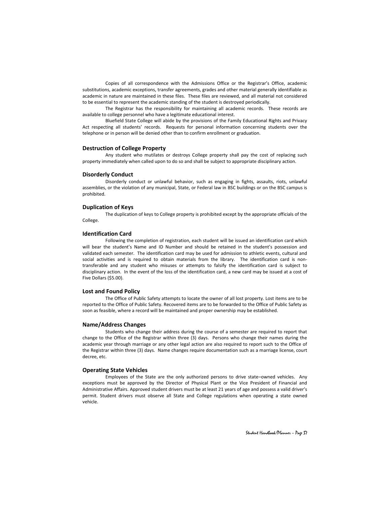Copies of all correspondence with the Admissions Office or the Registrar's Office, academic substitutions, academic exceptions, transfer agreements, grades and other material generally identifiable as academic in nature are maintained in these files. These files are reviewed, and all material not considered to be essential to represent the academic standing of the student is destroyed periodically.

The Registrar has the responsibility for maintaining all academic records. These records are available to college personnel who have a legitimate educational interest.

Bluefield State College will abide by the provisions of the Family Educational Rights and Privacy Act respecting all students' records. Requests for personal information concerning students over the telephone or in person will be denied other than to confirm enrollment or graduation.

#### **Destruction of College Property**

Any student who mutilates or destroys College property shall pay the cost of replacing such property immediately when called upon to do so and shall be subject to appropriate disciplinary action.

#### **Disorderly Conduct**

Disorderly conduct or unlawful behavior, such as engaging in fights, assaults, riots, unlawful assemblies, or the violation of any municipal, State, or Federal law in BSC buildings or on the BSC campus is prohibited.

#### **Duplication of Keys**

The duplication of keys to College property is prohibited except by the appropriate officials of the College.

#### **Identification Card**

Following the completion of registration, each student will be issued an identification card which will bear the student's Name and ID Number and should be retained in the student's possession and validated each semester. The identification card may be used for admission to athletic events, cultural and social activities and is required to obtain materials from the library. The identification card is nontransferable and any student who misuses or attempts to falsify the identification card is subject to disciplinary action. In the event of the loss of the identification card, a new card may be issued at a cost of Five Dollars (\$5.00).

#### **Lost and Found Policy**

The Office of Public Safety attempts to locate the owner of all lost property. Lost items are to be reported to the Office of Public Safety. Recovered items are to be forwarded to the Office of Public Safety as soon as feasible, where a record will be maintained and proper ownership may be established.

#### **Name/Address Changes**

Students who change their address during the course of a semester are required to report that change to the Office of the Registrar within three (3) days. Persons who change their names during the academic year through marriage or any other legal action are also required to report such to the Office of the Registrar within three (3) days. Name changes require documentation such as a marriage license, court decree, etc.

#### **Operating State Vehicles**

Employees of the State are the only authorized persons to drive state–owned vehicles. Any exceptions must be approved by the Director of Physical Plant or the Vice President of Financial and Administrative Affairs. Approved student drivers must be at least 21 years of age and possess a valid driver's permit. Student drivers must observe all State and College regulations when operating a state owned vehicle.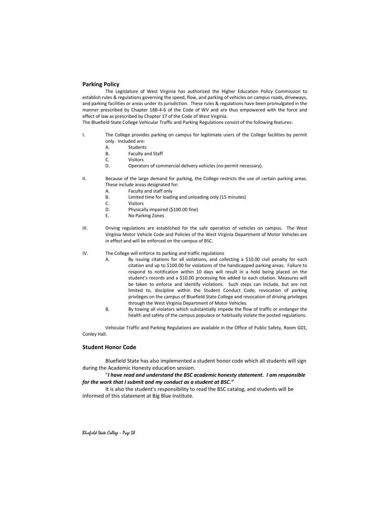#### **Parking Policy**

The Legislature of West Virginia has authorized the Higher Education Policy Commission to establish rules & regulations governing the speed, flow, and parking of vehicles on campus roads, driveways, and parking facilities or areas under its jurisdiction. These rules & regulations have been promulgated in the manner prescribed by Chapter 18B-4-6 of the Code of WV and are thus empowered with the force and effect of law as prescribed by Chapter 17 of the Code of West Virginia.

The Bluefield State College Vehicular Traffic and Parking Regulations consist of the following features:

- I. The College provides parking on campus for legitimate users of the College facilities by permit only. Included are:
	- A. Students
	- B. Faculty and Staff
	- C. Visitors
	- D. Operators of commercial delivery vehicles (no permit necessary).
- II. Because of the large demand for parking, the College restricts the use of certain parking areas. These include areas designated for:
	- A. Faculty and staff only
	- B. Limited time for loading and unloading only (15 minutes)
	- C. Visitors
	- D. Physically impaired (\$100.00 fine)
	- E. No Parking Zones
- III. Driving regulations are established for the safe operation of vehicles on campus. The West Virginia Motor Vehicle Code and Policies of the West Virginia Department of Motor Vehicles are in effect and will be enforced on the campus of BSC.
- IV. The College will enforce its parking and traffic regulations
	- A. By issuing citations for all violations, and collecting a \$10.00 civil penalty for each citation and up to \$100.00 for violations of the handicapped parking areas. Failure to respond to notification within 10 days will result in a hold being placed on the student's records and a \$10.00 processing fee added to each citation. Measures will be taken to enforce and identify violations. Such steps can include, but are not limited to, discipline within the Student Conduct Code, revocation of parking privileges on the campus of Bluefield State College and revocation of driving privileges through the West Virginia Department of Motor Vehicles.
	- B. By towing all violators which substantially impede the flow of traffic or endanger the health and safety of the campus populace or habitually violate the posted regulations.

Vehicular Traffic and Parking Regulations are available in the Office of Public Safety, Room G01, Conley Hall.

#### **Student Honor Code**

Bluefield State has also implemented a student honor code which all students will sign during the Academic Honesty education session.

#### "*I have read and understand the BSC academic honesty statement. I am responsible for the work that I submit and my conduct as a student at BSC."*

It is also the student's responsibility to read the BSC catalog, and students will be informed of this statement at Big Blue Institute.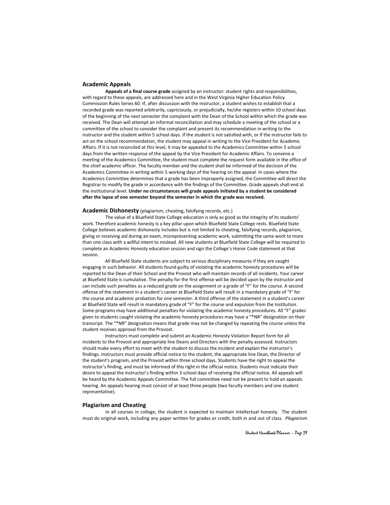#### **Academic Appeals**

**Appeals of a final course grade** assigned by an instructor: student rights and responsibilities, with regard to these appeals, are addressed here and in the West Virginia Higher Education Policy Commission Rules Series 60. If, after discussion with the instructor, a student wishes to establish that a recorded grade was reported arbitrarily, capriciously, or prejudicially, he/she registers within 10 school days of the beginning of the next semester the complaint with the Dean of the School within which the grade was received. The Dean will attempt an informal reconciliation and may schedule a meeting of the school or a committee of the school to consider the complaint and present its recommendation in writing to the instructor and the student within 5 school days. If the student is not satisfied with, or if the instructor fails to act on the school recommendation, the student may appeal in writing to the Vice President for Academic Affairs. If it is not reconciled at this level, it may be appealed to the Academics Committee within 5 school days from the written response of the appeal by the Vice President for Academic Affairs. To convene a meeting of the Academics Committee, the student must complete the request form available in the office of the chief academic officer. The faculty member and the student shall be informed of the decision of the Academics Committee in writing within 5 working days of the hearing on the appeal. In cases where the Academics Committee determines that a grade has been improperly assigned, the Committee will direct the Registrar to modify the grade in accordance with the findings of the Committee. Grade appeals shall end at the institutional level. **Under no circumstances will grade appeals initiated by a student be considered after the lapse of one semester beyond the semester in which the grade was received.** 

#### **Academic Dishonesty** (plagiarism, cheating, falsifying records, etc.)

The value of a Bluefield State College education is only as good as the integrity of its students' work. Therefore academic honesty is a key pillar upon which Bluefield State College rests. Bluefield State College believes academic dishonesty includes but is not limited to cheating, falsifying records, plagiarism, giving or receiving aid during an exam, misrepresenting academic work, submitting the same work to more than one class with a willful intent to mislead. All new students at Bluefield State College will be required to complete an Academic Honesty education session and sign the College's Honor Code statement at that session.

All Bluefield State students are subject to serious disciplinary measures if they are caught engaging in such behavior. All students found guilty of violating the academic honesty procedures will be reported to the Dean of their School and the Provost who will maintain records of all incidents. Your career at Bluefield State is cumulative. The penalty for the first offense will be decided upon by the instructor and can include such penalties as a reduced grade on the assignment or a grade of "F" for the course. A second offense of the statement in a student's career at Bluefield State will result in a mandatory grade of "F' for the course and academic probation for one semester. A third offense of the statement in a student's career at Bluefield State will result in mandatory grade of "F" for the course and expulsion from the Institution. Some programs may have additional penalties for violating the academic honesty procedures. All "F" grades given to students caught violating the academic honesty procedures may have a "\*NR" designation on their transcript. The "\*NR" designation means that grade may not be changed by repeating the course unless the student receives approval from the Provost.

Instructors must complete and submit an Academic Honesty Violation Report form for all incidents to the Provost and appropriate line Deans and Directors with the penalty assessed. Instructors should make every effort to meet with the student to discuss the incident and explain the instructor's findings. Instructors must provide official notice to the student, the appropriate line Dean, the Director of the student's program, and the Provost within three school days. Students have the right to appeal the instructor's finding, and must be informed of this right in the official notice. Students must indicate their desire to appeal the instructor's finding within 3 school days of receiving the official notice. All appeals will be heard by the Academic Appeals Committee. The full committee need not be present to hold an appeals hearing. An appeals hearing must consist of at least three people (two faculty members and one student representative).

#### **Plagiarism and Cheating**

In all courses in college, the student is expected to maintain intellectual honesty. The student must do original work, including any paper written for grades or credit, both in and out of class. *Plagiarism*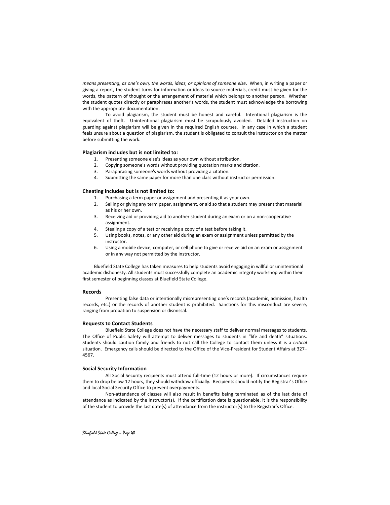*means presenting, as one's own, the words, ideas, or opinions of someone else*. When, in writing a paper or giving a report, the student turns for information or ideas to source materials, credit must be given for the words, the pattern of thought or the arrangement of material which belongs to another person. Whether the student quotes directly or paraphrases another's words, the student must acknowledge the borrowing with the appropriate documentation.

To avoid plagiarism, the student must be honest and careful. Intentional plagiarism is the equivalent of theft. Unintentional plagiarism must be scrupulously avoided. Detailed instruction on guarding against plagiarism will be given in the required English courses. In any case in which a student feels unsure about a question of plagiarism, the student is obligated to consult the instructor on the matter before submitting the work.

#### **Plagiarism includes but is not limited to:**

- 
- 1. Presenting someone else's ideas as your own without attribution.<br>2. Copying someone's words without providing quotation marks and 2. Copying someone's words without providing quotation marks and citation.
- 3. Paraphrasing someone's words without providing a citation.
- 4. Submitting the same paper for more than one class without instructor permission.

#### **Cheating includes but is not limited to:**

- 1. Purchasing a term paper or assignment and presenting it as your own.
- 2. Selling or giving any term paper, assignment, or aid so that a student may present that material as his or her own.
- 3. Receiving aid or providing aid to another student during an exam or on a non-cooperative assignment.
- 4. Stealing a copy of a test or receiving a copy of a test before taking it.
- 5. Using books, notes, or any other aid during an exam or assignment unless permitted by the instructor.
- 6. Using a mobile device, computer, or cell phone to give or receive aid on an exam or assignment or in any way not permitted by the instructor.

Bluefield State College has taken measures to help students avoid engaging in willful or unintentional academic dishonesty. All students must successfully complete an academic integrity workshop within their first semester of beginning classes at Bluefield State College.

#### **Records**

Presenting false data or intentionally misrepresenting one's records (academic, admission, health records, etc.) or the records of another student is prohibited. Sanctions for this misconduct are severe, ranging from probation to suspension or dismissal.

#### **Requests to Contact Students**

Bluefield State College does not have the necessary staff to deliver normal messages to students. The Office of Public Safety will attempt to deliver messages to students in "life and death" situations. Students should caution family and friends to not call the College to contact them unless it is a *critical*  situation. Emergency calls should be directed to the Office of the Vice-President for Student Affairs at 327– 4567.

#### **Social Security Information**

All Social Security recipients must attend full-time (12 hours or more). If circumstances require them to drop below 12 hours, they should withdraw officially. Recipients should notify the Registrar's Office and local Social Security Office to prevent overpayments.

Non-attendance of classes will also result in benefits being terminated as of the last date of attendance as indicated by the instructor(s). If the certification date is questionable, it is the responsibility of the student to provide the last date(s) of attendance from the instructor(s) to the Registrar's Office.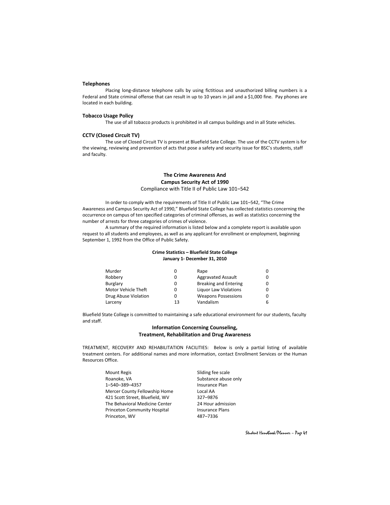#### **Telephones**

Placing long-distance telephone calls by using fictitious and unauthorized billing numbers is a Federal and State criminal offense that can result in up to 10 years in jail and a \$1,000 fine. Pay phones are located in each building.

#### **Tobacco Usage Policy**

The use of all tobacco products is prohibited in all campus buildings and in all State vehicles.

#### **CCTV (Closed Circuit TV)**

The use of Closed Circuit TV is present at Bluefield Sate College. The use of the CCTV system is for the viewing, reviewing and prevention of acts that pose a safety and security issue for BSC's students, staff and faculty.

#### **The Crime Awareness And Campus Security Act of 1990**

#### Compliance with Title II of Public Law 101–542

In order to comply with the requirements of Title II of Public Law 101–542, "The Crime Awareness and Campus Security Act of 1990," Bluefield State College has collected statistics concerning the occurrence on campus of ten specified categories of criminal offenses, as well as statistics concerning the number of arrests for three categories of crimes of violence.

A summary of the required information is listed below and a complete report is available upon request to all students and employees, as well as any applicant for enrollment or employment, beginning September 1, 1992 from the Office of Public Safety.

#### **Crime Statistics – Bluefield State College January 1- December 31, 2010**

| Murder               |    | Rape                         | 0 |
|----------------------|----|------------------------------|---|
| Robbery              | 0  | <b>Aggravated Assault</b>    |   |
| Burglary             | 0  | <b>Breaking and Entering</b> | 0 |
| Motor Vehicle Theft  | 0  | <b>Liquor Law Violations</b> | 0 |
| Drug Abuse Violation | O  | <b>Weapons Possessions</b>   | 0 |
| Larceny              | 13 | Vandalism                    | h |

Bluefield State College is committed to maintaining a safe educational environment for our students, faculty and staff.

#### **Information Concerning Counseling, Treatment, Rehabilitation and Drug Awareness**

TREATMENT, RECOVERY AND REHABILITATION FACILITIES: Below is only a partial listing of available treatment centers. For additional names and more information, contact Enrollment Services or the Human Resources Office.

| <b>Mount Regis</b>                  |
|-------------------------------------|
| Roanoke, VA                         |
| 1-540-389-4357                      |
| Mercer County Fellowship Home       |
| 421 Scott Street. Bluefield. WV     |
| The Behavioral Medicine Center      |
| <b>Princeton Community Hospital</b> |
| Princeton. WV                       |

Sliding fee scale Substance abuse only Insurance Plan **Local AA** 327-9876 24 Hour admission **Insurance Plans** Princeton, WV 487–7336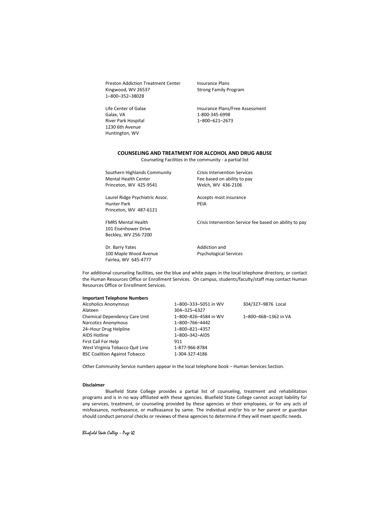Preston Addiction Treatment Center Insurance Plans Kingwood, WV 26537 Strong Family Program 1–800–352–38028

Galax, VA 1-800-345-6998 River Park Hospital 1–800–621–2673 1230 6th Avenue Huntington, WV

Life Center of Galax Insurance Plans/Free Assessment

#### **COUNSELING AND TREATMENT FOR ALCOHOL AND DRUG ABUSE**

Counseling Facilities in the community - a partial list

Southern Highlands Community Crisis Intervention Services<br>
Mental Health Center
Souther Fee based on ability to pay Princeton, WV 425-9541

Laurel Ridge Psychiatric Assoc. Accepts most insurance Hunter Park PEIA Princeton, WV 487-6121

FMRS Mental Health Crisis Intervention Service fee based on ability to pay 101 Eisenhower Drive Beckley, WV 256-7200

Fairlea, WV 645-4777

Fee based on ability to pay<br>Welch, WV 436-2106

Dr. Barry Yates **Addiction** and

100 Maple Wood Avenue Psychological Services

For additional counseling facilities, see the blue and white pages in the local telephone directory, or contact the Human Resources Office or Enrollment Services. On campus, students/faculty/staff may contact Human Resources Office or Enrollment Services.

#### **Important Telephone Numbers**

Alateen 304–325–6327 Chemical Dependency Care Unit 1–800–826–4584 in WV 1–800–468–1362 in VA Narcotics Anonymous 1-800-766-4442 24–Hour Drug Helpline 1–800–821–4357 AIDS Hotline 1–800–342–AIDS First Call For Help 911 West Virginia Tobacco Quit Line 1-877-966-8784<br>BSC Coalition Against Tobacco 1-304-327-4186 BSC Coalition Against Tobacco

Alcoholics Anonymous 1–800–333–5051 in WV 304/327–9876 Local

Other Community Service numbers appear in the local telephone book – Human Services Section.

#### **Disclaimer**

Bluefield State College provides a partial list of counseling, treatment and rehabilitation programs and is in no way affiliated with these agencies. Bluefield State College cannot accept liability for any services, treatment, or counseling provided by these agencies or their employees, or for any acts of misfeasance, nonfeasance, or malfeasance by same. The individual and/or his or her parent or guardian should conduct personal checks or reviews of these agencies to determine if they will meet specific needs.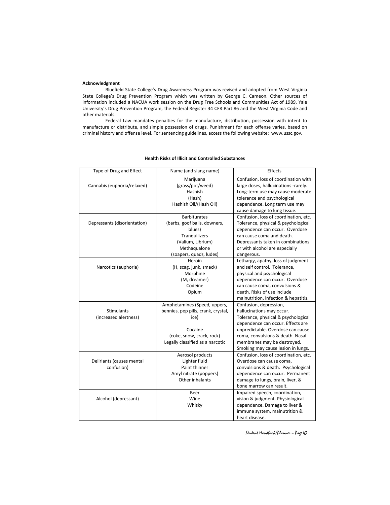#### **Acknowledgment**

Bluefield State College's Drug Awareness Program was revised and adopted from West Virginia State College's Drug Prevention Program which was written by George C. Cameon. Other sources of information included a NACUA work session on the Drug Free Schools and Communities Act of 1989, Yale University's Drug Prevention Program, the Federal Register 34 CFR Part 86 and the West Virginia Code and other materials.

Federal Law mandates penalties for the manufacture, distribution, possession with intent to manufacture or distribute, and simple possession of drugs. Punishment for each offense varies, based on criminal history and offense level. For sentencing guidelines, access the following website: www.ussc.gov.

| Type of Drug and Effect                    | Name (and slang name)                                                                                                                                   | Effects                                                                                                                                                                                                                                                                       |
|--------------------------------------------|---------------------------------------------------------------------------------------------------------------------------------------------------------|-------------------------------------------------------------------------------------------------------------------------------------------------------------------------------------------------------------------------------------------------------------------------------|
| Cannabis (euphoria/relaxed)                | Marijuana<br>(grass/pot/weed)<br>Hashish<br>(Hash)<br>Hashish Oil/(Hash Oil)                                                                            | Confusion, loss of coordination with<br>large doses, hallucinations -rarely.<br>Long-term use may cause moderate<br>tolerance and psychological<br>dependence. Long term use may                                                                                              |
|                                            |                                                                                                                                                         | cause damage to lung tissue.                                                                                                                                                                                                                                                  |
| Depressants (disorientation)               | <b>Barbiturates</b><br>(barbs, goof balls, downers,<br>blues)<br>Tranquilizers<br>(Valium, Librium)<br>Methaqualone<br>(soapers, quads, ludes)          | Confusion, loss of coordination, etc.<br>Tolerance, physical & psychological<br>dependence can occur. Overdose<br>can cause coma and death.<br>Depressants taken in combinations<br>or with alcohol are especially<br>dangerous.                                              |
| Narcotics (euphoria)                       | Heroin<br>(H, scag, junk, smack)<br>Morphine<br>(M, dreamer)<br>Codeine<br>Opium                                                                        | Lethargy, apathy, loss of judgment<br>and self control. Tolerance,<br>physical and psychological<br>dependence can occur. Overdose<br>can cause coma, convulsions &<br>death. Risks of use include<br>malnutrition, infection & hepatitis.                                    |
| <b>Stimulants</b><br>(increased alertness) | Amphetamines (Speed, uppers,<br>bennies, pep pills, crank, crystal,<br>ice)<br>Cocaine<br>(coke, snow, crack, rock)<br>Legally classified as a narcotic | Confusion, depression,<br>hallucinations may occur.<br>Tolerance, physical & psychological<br>dependence can occur. Effects are<br>unpredictable. Overdose can cause<br>coma, convulsions & death. Nasal<br>membranes may be destroyed.<br>Smoking may cause lesion in lungs. |
| Deliriants (causes mental<br>confusion)    | Aerosol products<br>Lighter fluid<br>Paint thinner<br>Amyl nitrate (poppers)<br>Other inhalants                                                         | Confusion, loss of coordination, etc.<br>Overdose can cause coma,<br>convulsions & death. Psychological<br>dependence can occur. Permanent<br>damage to lungs, brain, liver, &<br>bone marrow can result.                                                                     |
| Alcohol (depressant)                       | Beer<br>Wine<br>Whisky                                                                                                                                  | Impaired speech, coordination,<br>vision & judgment. Physiological<br>dependence. Damage to liver &<br>immune system, malnutrition &<br>heart disease.                                                                                                                        |

#### **Health Risks of Illicit and Controlled Substances**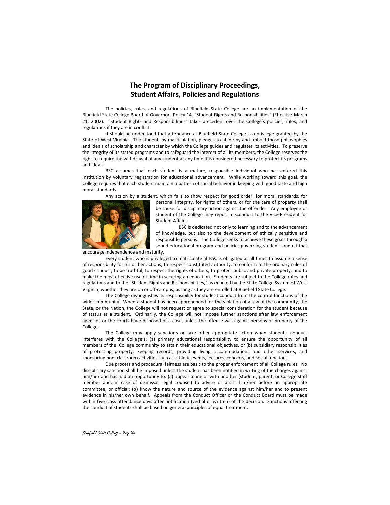#### **The Program of Disciplinary Proceedings, Student Affairs, Policies and Regulations**

The policies, rules, and regulations of Bluefield State College are an implementation of the Bluefield State College Board of Governors Policy 14, "Student Rights and Responsibilities" (Effective March 21, 2002). "Student Rights and Responsibilities" takes precedent over the College's policies, rules, and regulations if they are in conflict.

It should be understood that attendance at Bluefield State College is a privilege granted by the State of West Virginia. The student, by matriculation, pledges to abide by and uphold those philosophies and ideals of scholarship and character by which the College guides and regulates its activities. To preserve the integrity of its stated programs and to safeguard the interest of all its members, the College reserves the right to require the withdrawal of any student at any time it is considered necessary to protect its programs and ideals.

BSC assumes that each student is a mature, responsible individual who has entered this Institution by voluntary registration for educational advancement. While working toward this goal, the College requires that each student maintain a pattern of social behavior in keeping with good taste and high moral standards.

Any action by a student, which fails to show respect for good order, for moral standards, for



personal integrity, for rights of others, or for the care of property shall be cause for disciplinary action against the offender. Any employee or student of the College may report misconduct to the Vice-President for Student Affairs.

BSC is dedicated not only to learning and to the advancement of knowledge, but also to the development of ethically sensitive and responsible persons. The College seeks to achieve these goals through a sound educational program and policies governing student conduct that

encourage independence and maturity.

Every student who is privileged to matriculate at BSC is obligated at all times to assume a sense of responsibility for his or her actions, to respect constituted authority, to conform to the ordinary rules of good conduct, to be truthful, to respect the rights of others, to protect public and private property, and to make the most effective use of time in securing an education. Students are subject to the College rules and regulations and to the "Student Rights and Responsibilities," as enacted by the State College System of West Virginia, whether they are on or off-campus, as long as they are enrolled at Bluefield State College.

The College distinguishes its responsibility for student conduct from the control functions of the wider community. When a student has been apprehended for the violation of a law of the community, the State, or the Nation, the College will not request or agree to special consideration for the student because of status as a student. Ordinarily, the College will not impose further sanctions after law enforcement agencies or the courts have disposed of a case, unless the offense was against persons or property of the College.

The College may apply sanctions or take other appropriate action when students' conduct interferes with the College's: (a) primary educational responsibility to ensure the opportunity of all members of the College community to attain their educational objectives, or (b) subsidiary responsibilities of protecting property, keeping records, providing living accommodations and other services, and sponsoring non–classroom activities such as athletic events, lectures, concerts, and social functions.

Due process and procedural fairness are basic to the proper enforcement of all College rules. No disciplinary sanction shall be imposed unless the student has been notified in writing of the charges against him/her and has had an opportunity to: (a) appear alone or with another (student, parent, or College staff member and, in case of dismissal, legal counsel) to advise or assist him/her before an appropriate committee, or official; (b) know the nature and source of the evidence against him/her and to present evidence in his/her own behalf. Appeals from the Conduct Officer or the Conduct Board must be made within five class attendance days after notification (verbal or written) of the decision. Sanctions affecting the conduct of students shall be based on general principles of equal treatment.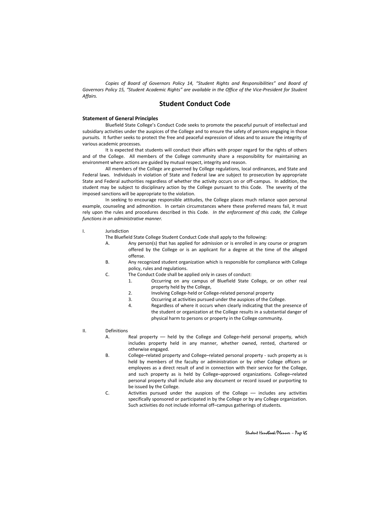*Copies of Board of Governors Policy 14, "Student Rights and Responsibilities" and Board of Governors Policy 15, "Student Academic Rights" are available in the Office of the Vice-President for Student Affairs.*

#### **Student Conduct Code**

#### **Statement of General Principles**

Bluefield State College's Conduct Code seeks to promote the peaceful pursuit of intellectual and subsidiary activities under the auspices of the College and to ensure the safety of persons engaging in those pursuits. It further seeks to protect the free and peaceful expression of ideas and to assure the integrity of various academic processes.

It is expected that students will conduct their affairs with proper regard for the rights of others and of the College. All members of the College community share a responsibility for maintaining an environment where actions are guided by mutual respect, integrity and reason.

All members of the College are governed by College regulations, local ordinances, and State and Federal laws. Individuals in violation of State and Federal law are subject to prosecution by appropriate State and Federal authorities regardless of whether the activity occurs on or off-campus. In addition, the student may be subject to disciplinary action by the College pursuant to this Code. The severity of the imposed sanctions will be appropriate to the violation.

In seeking to encourage responsible attitudes, the College places much reliance upon personal example, counseling and admonition. In certain circumstances where these preferred means fail, it must rely upon the rules and procedures described in this Code. *In the enforcement of this code, the College functions in an administrative manner.*

I. Jurisdiction

The Bluefield State College Student Conduct Code shall apply to the following:

- A. Any person(s) that has applied for admission or is enrolled in any course or program offered by the College or is an applicant for a degree at the time of the alleged offense.
- B. Any recognized student organization which is responsible for compliance with College policy, rules and regulations.
- C. The Conduct Code shall be applied only in cases of conduct:
	- 1. Occurring on any campus of Bluefield State College, or on other real property held by the College,
	- 2. Involving College-held or College-related personal property
	- 3. Occurring at activities pursued under the auspices of the College.
	- 4. Regardless of where it occurs when clearly indicating that the presence of the student or organization at the College results in a substantial danger of physical harm to persons or property in the College community.
- II. Definitions
	- A. Real property held by the College and College–held personal property, which includes property held in any manner, whether owned, rented, chartered or otherwise engaged.
	- B. College–related property and College–related personal property such property as is held by members of the faculty or administration or by other College officers or employees as a direct result of and in connection with their service for the College, and such property as is held by College–approved organizations. College–related personal property shall include also any document or record issued or purporting to be issued by the College.
	- C. Activities pursued under the auspices of the College -- includes any activities specifically sponsored or participated in by the College or by any College organization. Such activities do not include informal off–campus gatherings of students.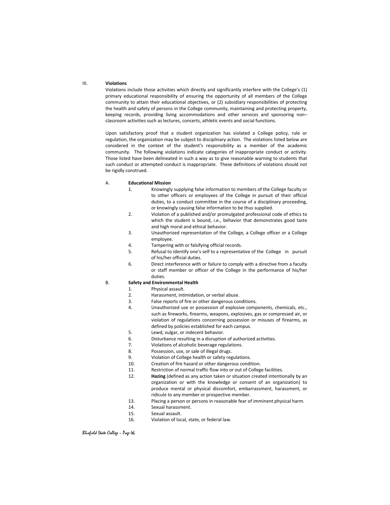#### III. **Violations**

Violations include those activities which directly and significantly interfere with the College's (1) primary educational responsibility of ensuring the opportunity of all members of the College community to attain their educational objectives, or (2) subsidiary responsibilities of protecting the health and safety of persons in the College community, maintaining and protecting property, keeping records, providing living accommodations and other services and sponsoring non– classroom activities such as lectures, concerts, athletic events and social functions.

Upon satisfactory proof that a student organization has violated a College policy, rule or regulation, the organization may be subject to disciplinary action. The violations listed below are considered in the context of the student's responsibility as a member of the academic community. The following violations indicate categories of inappropriate conduct or activity. Those listed have been delineated in such a way as to give reasonable warning to students that such conduct or attempted conduct is inappropriate. These definitions of violations should not be rigidly construed.

#### A. **Educational Mission**

- 1. Knowingly supplying false information to members of the College faculty or to other officers or employees of the College in pursuit of their official duties, to a conduct committee in the course of a disciplinary proceeding, or knowingly causing false information to be thus supplied.
- 2. Violation of a published and/or promulgated professional code of ethics to which the student is bound, i.e., behavior that demonstrates good taste and high moral and ethical behavior.
- 3. Unauthorized representation of the College, a College officer or a College employee.
- 4. Tampering with or falsifying official records.
- 5. Refusal to identify one's self to a representative of the College in pursuit of his/her official duties.
- 6. Direct interference with or failure to comply with a directive from a faculty or staff member or officer of the College in the performance of his/her duties.

#### B. **Safety and Environmental Health**

- 1. Physical assault.
- 2. Harassment, intimidation, or verbal abuse.
- 3. False reports of fire or other dangerous conditions.
- 4. Unauthorized use or possession of explosive components, chemicals, etc., such as fireworks, firearms, weapons, explosives, gas or compressed air, or violation of regulations concerning possession or misuses of firearms, as defined by policies established for each campus.
- 5. Lewd, vulgar, or indecent behavior.
- 6. Disturbance resulting in a disruption of authorized activities.
- 7. Violations of alcoholic beverage regulations.
- 8. Possession, use, or sale of illegal drugs.
- 9. Violation of College health or safety regulations.
- 10. Creation of fire hazard or other dangerous condition.
- 11. Restriction of normal traffic flow into or out of College facilities.
- 12. **Hazing** (defined as any action taken or situation created intentionally by an organization or with the knowledge or consent of an organization) to produce mental or physical discomfort, embarrassment, harassment, or ridicule to any member or prospective member.
- 13. Placing a person or persons in reasonable fear of imminent physical harm.
- 14. Sexual harassment.
- 15. Sexual assault.
- 16. Violation of local, state, or federal law.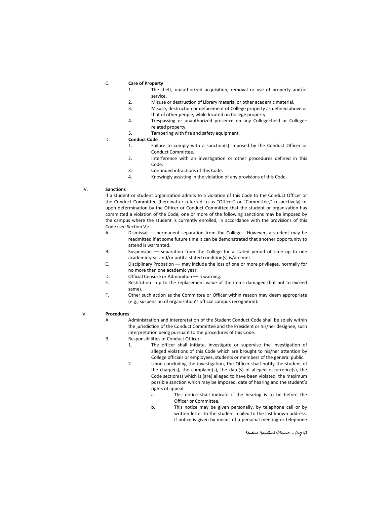#### C. **Care of Property**

- 1. The theft, unauthorized acquisition, removal or use of property and/or service.
- 2. Misuse or destruction of Library material or other academic material.
- 3. Misuse, destruction or defacement of College property as defined above or that of other people, while located on College property.
- 4. Trespassing or unauthorized presence on any College–held or College– related property.
- 5. Tampering with fire and safety equipment.

#### D. **Conduct Code**

- 1. Failure to comply with a sanction(s) imposed by the Conduct Officer or Conduct Committee.
- 2. Interference with an investigation or other procedures defined in this Code.
- 3. Continued infractions of this Code.
- 4. Knowingly assisting in the violation of any provisions of this Code.

#### IV. **Sanctions**

If a student or student organization admits to a violation of this Code to the Conduct Officer or the Conduct Committee (hereinafter referred to as "Officer" or "Committee," respectively) or upon determination by the Officer or Conduct Committee that the student or organization has committed a violation of the Code, one or more of the following sanctions may be imposed by the campus where the student is currently enrolled, in accordance with the provisions of this Code (see Section V):

- A. Dismissal –– permanent separation from the College. However, a student may be readmitted if at some future time it can be demonstrated that another opportunity to attend is warranted.
- B. Suspension –– separation from the College for a stated period of time up to one academic year and/or until a stated condition(s) is/are met.
- C. Disciplinary Probation –– may include the loss of one or more privileges, normally for no more than one academic year.
- D. Official Censure or Admonition -- a warning.
- E. Restitution up to the replacement value of the items damaged (but not to exceed same).
- F. Other such action as the Committee or Officer within reason may deem appropriate (e.g., suspension of organization's official campus recognition).

#### V. **Procedures**

- A. Administration and interpretation of the Student Conduct Code shall be solely within the jurisdiction of the Conduct Committee and the President or his/her designee, such interpretation being pursuant to the procedures of this Code.
- B. Responsibilities of Conduct Officer:
	- 1. The officer shall initiate, investigate or supervise the investigation of alleged violations of this Code which are brought to his/her attention by College officials or employees, students or members of the general public.
	- 2. Upon concluding the investigation, the Officer shall notify the student of the charge(s), the complaint(s), the date(s) of alleged occurrence(s), the Code section(s) which is (are) alleged to have been violated, the maximum possible sanction which may be imposed, date of hearing and the student's rights of appeal.
		- a. This notice shall indicate if the hearing is to be before the Officer or Committee.
		- b. This notice may be given personally, by telephone call or by written letter to the student mailed to the last known address. If notice is given by means of a personal meeting or telephone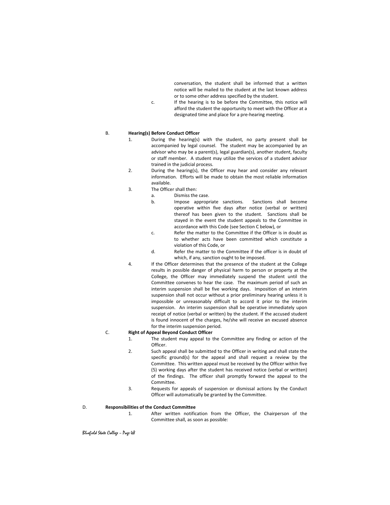conversation, the student shall be informed that a written notice will be mailed to the student at the last known address or to some other address specified by the student.

c. If the hearing is to be before the Committee, this notice will afford the student the opportunity to meet with the Officer at a designated time and place for a pre-hearing meeting.

#### B. **Hearing(s) Before Conduct Officer**

- 1. During the hearing(s) with the student, no party present shall be accompanied by legal counsel. The student may be accompanied by an advisor who may be a parent(s), legal guardian(s), another student, faculty or staff member. A student may utilize the services of a student advisor trained in the judicial process.
- 2. During the hearing(s), the Officer may hear and consider any relevant information. Efforts will be made to obtain the most reliable information available.
- 3. The Officer shall then:
	- a. Dismiss the case.
	- b. Impose appropriate sanctions. Sanctions shall become operative within five days after notice (verbal or written) thereof has been given to the student. Sanctions shall be stayed in the event the student appeals to the Committee in accordance with this Code (see Section C below), or
	- c. Refer the matter to the Committee if the Officer is in doubt as to whether acts have been committed which constitute a violation of this Code, or
	- d. Refer the matter to the Committee if the officer is in doubt of which, if any, sanction ought to be imposed.
- 4. If the Officer determines that the presence of the student at the College results in possible danger of physical harm to person or property at the College, the Officer may immediately suspend the student until the Committee convenes to hear the case. The maximum period of such an interim suspension shall be five working days. Imposition of an interim suspension shall not occur without a prior preliminary hearing unless it is impossible or unreasonably difficult to accord it prior to the interim suspension. An interim suspension shall be operative immediately upon receipt of notice (verbal or written) by the student. If the accused student is found innocent of the charges, he/she will receive an excused absence for the interim suspension period.

#### C. **Right of Appeal Beyond Conduct Officer**

- 1. The student may appeal to the Committee any finding or action of the Officer.
- 2. Such appeal shall be submitted to the Officer in writing and shall state the specific ground(s) for the appeal and shall request a review by the Committee. This written appeal must be received by the Officer within five (5) working days after the student has received notice (verbal or written) of the findings. The officer shall promptly forward the appeal to the Committee.
- 3. Requests for appeals of suspension or dismissal actions by the Conduct Officer will automatically be granted by the Committee.

#### D. **Responsibilities of the Conduct Committee**

1. After written notification from the Officer, the Chairperson of the Committee shall, as soon as possible: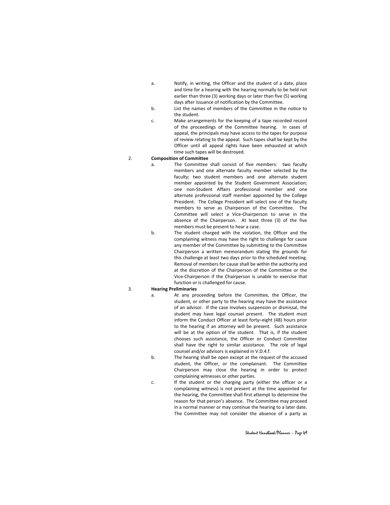- a. Notify, in writing, the Officer and the student of a date, place and time for a hearing with the hearing normally to be held not earlier than three (3) working days or later than five (5) working days after issuance of notification by the Committee.
- b. List the names of members of the Committee in the notice to the student.
- c. Make arrangements for the keeping of a tape recorded record of the proceedings of the Committee hearing. In cases of appeal, the principals may have access to the tapes for purpose of review relating to the appeal. Such tapes shall be kept by the Officer until all appeal rights have been exhausted at which time such tapes will be destroyed.

#### 2. **Composition of Committee**

- a. The Committee shall consist of five members: two faculty members and one alternate faculty member selected by the faculty; two student members and one alternate student member appointed by the Student Government Association; one non-Student Affairs professional member and one alternate professional staff member appointed by the College President. The College President will select one of the faculty members to serve as Chairperson of the Committee. The Committee will select a Vice-Chairperson to serve in the absence of the Chairperson. At least three (3) of the five members must be present to hear a case.
- b. The student charged with the violation, the Officer and the complaining witness may have the right to challenge for cause any member of the Committee by submitting to the Committee Chairperson a written memorandum stating the grounds for this challenge at least two days prior to the scheduled meeting. Removal of members for cause shall be within the authority and at the discretion of the Chairperson of the Committee or the Vice-Chairperson if the Chairperson is unable to exercise that function or is challenged for cause.

#### 3. **Hearing Preliminaries**

- a. At any proceeding before the Committee, the Officer, the student, or other party to the hearing may have the assistance of an advisor. If the case involves suspension or dismissal, the student may have legal counsel present. The student must inform the Conduct Officer at least forty–eight (48) hours prior to the hearing if an attorney will be present. Such assistance will be at the option of the student. That is, if the student chooses such assistance, the Officer or Conduct Committee shall have the right to similar assistance. The role of legal counsel and/or advisors is explained in V.D.4.f.
- b. The hearing shall be open except at the request of the accused student, the Officer, or the complainant. The Committee Chairperson may close the hearing in order to protect complaining witnesses or other parties.
- c. If the student or the charging party (either the officer or a complaining witness) is not present at the time appointed for the hearing, the Committee shall first attempt to determine the reason for that person's absence. The Committee may proceed in a normal manner or may continue the hearing to a later date. The Committee may not consider the absence of a party as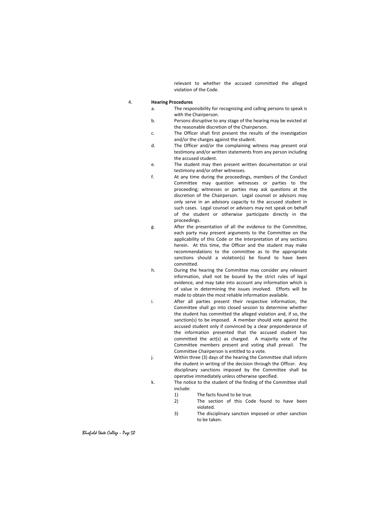relevant to whether the accused committed the alleged violation of the Code.

#### 4. **Hearing Procedures**

- a. The responsibility for recognizing and calling persons to speak is with the Chairperson.
- b. Persons disruptive to any stage of the hearing may be evicted at the reasonable discretion of the Chairperson.
- c. The Officer shall first present the results of the investigation and/or the charges against the student.
- d. The Officer and/or the complaining witness may present oral testimony and/or written statements from any person including the accused student.
- e. The student may then present written documentation or oral testimony and/or other witnesses.
- f. At any time during the proceedings, members of the Conduct Committee may question witnesses or parties to the proceeding; witnesses or parties may ask questions at the discretion of the Chairperson. Legal counsel or advisors may only serve in an advisory capacity to the accused student in such cases. Legal counsel or advisors may not speak on behalf of the student or otherwise participate directly in the proceedings.
- g. After the presentation of all the evidence to the Committee, each party may present arguments to the Committee on the applicability of this Code or the interpretation of any sections herein. At this time, the Officer and the student may make recommendations to the committee as to the appropriate sanctions should a violation(s) be found to have been committed.
- h. During the hearing the Committee may consider any relevant information, shall not be bound by the strict rules of legal evidence, and may take into account any information which is of value in determining the issues involved. Efforts will be made to obtain the most reliable information available.
- i. After all parties present their respective information, the Committee shall go into closed session to determine whether the student has committed the alleged violation and, if so, the sanction(s) to be imposed. A member should vote against the accused student only if convinced by a clear preponderance of the information presented that the accused student has committed the act(s) as charged. A majority vote of the Committee members present and voting shall prevail. The Committee Chairperson is entitled to a vote.
- j. Within three (3) days of the hearing the Committee shall inform the student in writing of the decision through the Officer. Any disciplinary sanctions imposed by the Committee shall be operative immediately unless otherwise specified.
- k. The notice to the student of the finding of the Committee shall include:
	- 1) The facts found to be true.
	- 2) The section of this Code found to have been violated.
	- 3) The disciplinary sanction imposed or other sanction to be taken.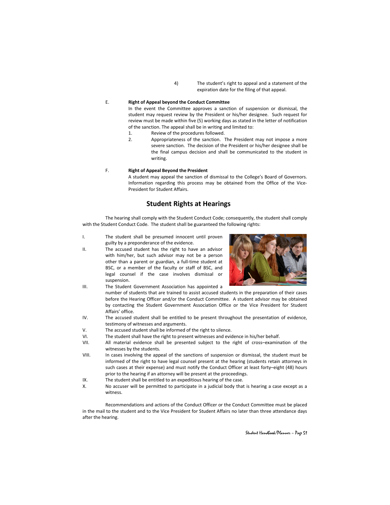4) The student's right to appeal and a statement of the expiration date for the filing of that appeal.

#### E. **Right of Appeal beyond the Conduct Committee**

In the event the Committee approves a sanction of suspension or dismissal, the student may request review by the President or his/her designee. Such request for review must be made within five (5) working days as stated in the letter of notification of the sanction. The appeal shall be in writing and limited to:

- 1. Review of the procedures followed.
- 2. Appropriateness of the sanction. The President may not impose a more severe sanction. The decision of the President or his/her designee shall be the final campus decision and shall be communicated to the student in writing.

#### F. **Right of Appeal Beyond the President**

A student may appeal the sanction of dismissal to the College's Board of Governors. Information regarding this process may be obtained from the Office of the Vice-President for Student Affairs.

#### **Student Rights at Hearings**

The hearing shall comply with the Student Conduct Code; consequently, the student shall comply with the Student Conduct Code. The student shall be guaranteed the following rights:

- I. The student shall be presumed innocent until proven guilty by a preponderance of the evidence.
- II. The accused student has the right to have an advisor with him/her, but such advisor may not be a person other than a parent or guardian, a full-time student at BSC, or a member of the faculty or staff of BSC, and legal counsel if the case involves dismissal or suspension.



- III. The Student Government Association has appointed a number of students that are trained to assist accused students in the preparation of their cases before the Hearing Officer and/or the Conduct Committee. A student advisor may be obtained by contacting the Student Government Association Office or the Vice President for Student Affairs' office.
- IV. The accused student shall be entitled to be present throughout the presentation of evidence, testimony of witnesses and arguments.
- V. The accused student shall be informed of the right to silence.
- VI. The student shall have the right to present witnesses and evidence in his/her behalf.
- VII. All material evidence shall be presented subject to the right of cross–examination of the witnesses by the students.
- VIII. In cases involving the appeal of the sanctions of suspension or dismissal, the student must be informed of the right to have legal counsel present at the hearing (students retain attorneys in such cases at their expense) and must notify the Conduct Officer at least forty–eight (48) hours prior to the hearing if an attorney will be present at the proceedings.
- IX. The student shall be entitled to an expeditious hearing of the case.
- X. No accuser will be permitted to participate in a judicial body that is hearing a case except as a witness.

Recommendations and actions of the Conduct Officer or the Conduct Committee must be placed in the mail to the student and to the Vice President for Student Affairs no later than three attendance days after the hearing.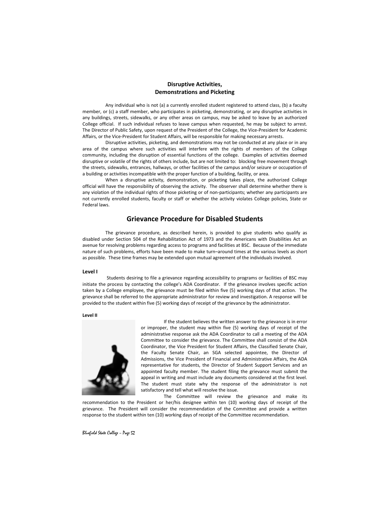#### **Disruptive Activities, Demonstrations and Picketing**

Any individual who is not (a) a currently enrolled student registered to attend class, (b) a faculty member, or (c) a staff member, who participates in picketing, demonstrating, or any disruptive activities in any buildings, streets, sidewalks, or any other areas on campus, may be asked to leave by an authorized College official. If such individual refuses to leave campus when requested, he may be subject to arrest. The Director of Public Safety, upon request of the President of the College, the Vice-President for Academic Affairs, or the Vice-President for Student Affairs, will be responsible for making necessary arrests.

Disruptive activities, picketing, and demonstrations may not be conducted at any place or in any area of the campus where such activities will interfere with the rights of members of the College community, including the disruption of essential functions of the college. Examples of activities deemed disruptive or volatile of the rights of others include, but are not limited to: blocking free movement through the streets, sidewalks, entrances, hallways, or other facilities of the campus and/or seizure or occupation of a building or activities incompatible with the proper function of a building, facility, or area.

When a disruptive activity, demonstration, or picketing takes place, the authorized College official will have the responsibility of observing the activity. The observer shall determine whether there is any violation of the individual rights of those picketing or of non-participants; whether any participants are not currently enrolled students, faculty or staff or whether the activity violates College policies, State or Federal laws.

#### **Grievance Procedure for Disabled Students**

The grievance procedure, as described herein, is provided to give students who qualify as disabled under Section 504 of the Rehabilitation Act of 1973 and the Americans with Disabilities Act an avenue for resolving problems regarding access to programs and facilities at BSC. Because of the immediate nature of such problems, efforts have been made to make turn–around times at the various levels as short as possible. These time frames may be extended upon mutual agreement of the individuals involved.

#### **Level I**

Students desiring to file a grievance regarding accessibility to programs or facilities of BSC may initiate the process by contacting the college's ADA Coordinator. If the grievance involves specific action taken by a College employee, the grievance must be filed within five (5) working days of that action. The grievance shall be referred to the appropriate administrator for review and investigation. A response will be provided to the student within five (5) working days of receipt of the grievance by the administrator.

#### **Level II**



If the student believes the written answer to the grievance is in error or improper, the student may within five (5) working days of receipt of the administrative response ask the ADA Coordinator to call a meeting of the ADA Committee to consider the grievance. The Committee shall consist of the ADA Coordinator, the Vice President for Student Affairs, the Classified Senate Chair, the Faculty Senate Chair, an SGA selected appointee, the Director of Admissions, the Vice President of Financial and Administrative Affairs, the ADA representative for students, the Director of Student Support Services and an appointed faculty member. The student filing the grievance must submit the appeal in writing and must include any documents considered at the first level. The student must state why the response of the administrator is not satisfactory and tell what will resolve the issue.

The Committee will review the grievance and make its recommendation to the President or her/his designee within ten (10) working days of receipt of the grievance. The President will consider the recommendation of the Committee and provide a written response to the student within ten (10) working days of receipt of the Committee recommendation.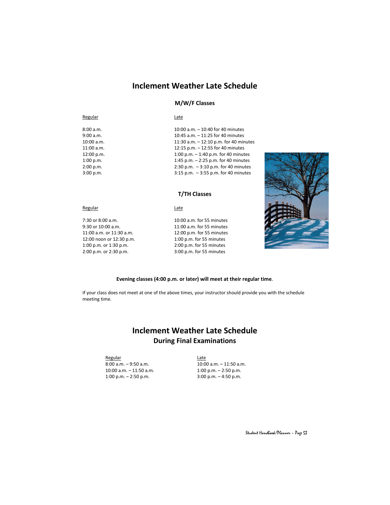## **Inclement Weather Late Schedule**

#### **M/W/F Classes**

#### Regular **Late**

| 9:00 a.m.    | 10:45 a.m. $-$ 11:25 for 40 minutes      |
|--------------|------------------------------------------|
|              |                                          |
| 10:00 a.m.   | 11:30 a.m. $-$ 12:10 p.m. for 40 minutes |
| $11:00$ a.m. | 12:15 p.m. - 12:55 for 40 minutes        |
| 12:00 p.m.   | 1:00 p.m. $-$ 1:40 p.m. for 40 minutes   |
| 1:00 p.m.    | 1:45 p.m. $-$ 2:25 p.m. for 40 minutes   |
| 2:00 p.m.    | 2:30 p.m. $-3:10$ p.m. for 40 minutes    |
| 3:00 p.m.    | $3:15$ p.m. $-3:55$ p.m. for 40 minutes  |

#### **T/TH Classes**

Regular **Late** 

- 9:30 or 10:00 a.m. 11:00 a.m. 11:00 a.m. for 55 minutes<br>11:00 a.m. or 11:30 a.m. 12:00 p.m. for 55 minutes 12:00 noon or 12:30 p.m.
- 7:30 or 8:00 a.m. 10:00 a.m. for 55 minutes 12:00 p.m. for 55 minutes<br> $1:00$  p.m. for 55 minutes 1:00 p.m. or 1:30 p.m. 2:00 p.m. for 55 minutes<br>2:00 p.m. or 2:30 p.m. 2:00 p.m. for 55 minutes 3:00 p.m. for 55 minutes



#### **Evening classes (4:00 p.m. or later) will meet at their regular time**.

If your class does not meet at one of the above times, your instructor should provide you with the schedule meeting time.

## **Inclement Weather Late Schedule During Final Examinations**

Regular Late<br>
8:00 a.m. – 9:50 a.m. 10:00 1:00 p.m. – 2:50 p.m.

8:00 a.m. – 9:50 a.m. 10:00 a.m. – 11:50 a.m. 1:00 p.m. – 2:50 p.m.<br>3:00 p.m. – 4:50 p.m.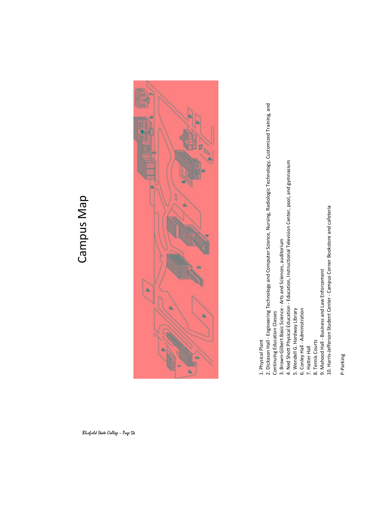# Campus Map Campus Map



1. Physical Plant 1. Physical Plant

2. Dickason Hall - Engineering Technology and Computer Science, Nursing, Radiologic Technology, Customized Training, and 2. Dickason Hall - Engineering Technology and Computer Science, Nursing, Radiologic Technology, Customized Training, and Continuing Education Classes Continuing Education Classes

3. Brown-Gilbert Basic Science - Arts and Sciences, auditorium 3. Brown-Gilbert Basic Science - Arts and Sciences, auditorium

4. Ned Shott Physical Education - Education, Instructional Television Center, pool, and gymnasium

4. Ned Shott Physical Education - Education, Instructional Television Center, pool, and gymnasium

5. Wendell G. Hardway Library 5. Wendell G. Hardway Library

6. Conley Hall - Administration 6. Conley Hall - Administration

7. Hatter Hall 7. Hatter Hall

8. Tennis Courts 8. Tennis Courts

9. Mahood Hall - Business and Law Enforcement 9. Mahood Hall - Business and Law Enforcement

10. Harris-Jefferson Student Center - Campus Corner Bookstore and cafeteria 10. Harris-Jefferson Student Center - Campus Corner Bookstore and cafeteria

P-Parking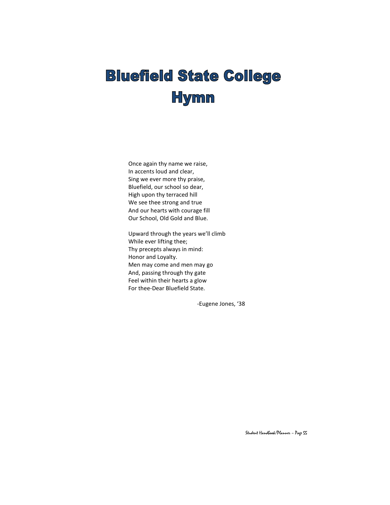## **Bluefield State College** Hymn

Once again thy name we raise, In accents loud and clear, Sing we ever more thy praise, Bluefield, our school so dear, High upon thy terraced hill We see thee strong and true And our hearts with courage fill Our School, Old Gold and Blue.

Upward through the years we'll climb While ever lifting thee; Thy precepts always in mind: Honor and Loyalty. Men may come and men may go And, passing through thy gate Feel within their hearts a glow For thee-Dear Bluefield State.

-Eugene Jones, '38